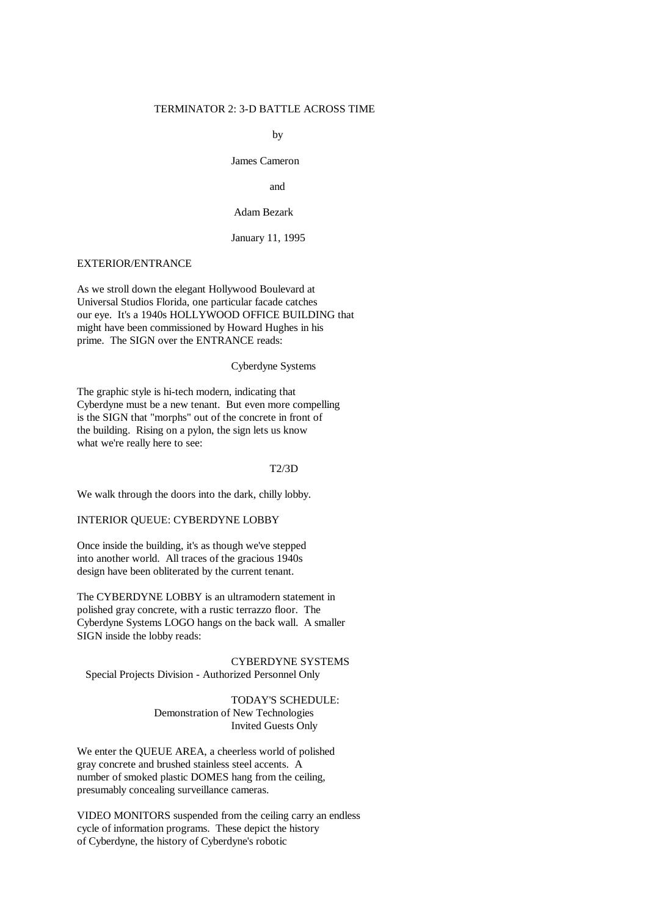### TERMINATOR 2: 3-D BATTLE ACROSS TIME

by

James Cameron

and

# Adam Bezark

January 11, 1995

# EXTERIOR/ENTRANCE

As we stroll down the elegant Hollywood Boulevard at Universal Studios Florida, one particular facade catches our eye. It's a 1940s HOLLYWOOD OFFICE BUILDING that might have been commissioned by Howard Hughes in his prime. The SIGN over the ENTRANCE reads:

### Cyberdyne Systems

The graphic style is hi-tech modern, indicating that Cyberdyne must be a new tenant. But even more compelling is the SIGN that "morphs" out of the concrete in front of the building. Rising on a pylon, the sign lets us know what we're really here to see:

## T2/3D

We walk through the doors into the dark, chilly lobby.

INTERIOR QUEUE: CYBERDYNE LOBBY

Once inside the building, it's as though we've stepped into another world. All traces of the gracious 1940s design have been obliterated by the current tenant.

The CYBERDYNE LOBBY is an ultramodern statement in polished gray concrete, with a rustic terrazzo floor. The Cyberdyne Systems LOGO hangs on the back wall. A smaller SIGN inside the lobby reads:

CYBERDYNE SYSTEMS Special Projects Division - Authorized Personnel Only

> TODAY'S SCHEDULE: Demonstration of New Technologies Invited Guests Only

We enter the QUEUE AREA, a cheerless world of polished gray concrete and brushed stainless steel accents. A number of smoked plastic DOMES hang from the ceiling, presumably concealing surveillance cameras.

VIDEO MONITORS suspended from the ceiling carry an endless cycle of information programs. These depict the history of Cyberdyne, the history of Cyberdyne's robotic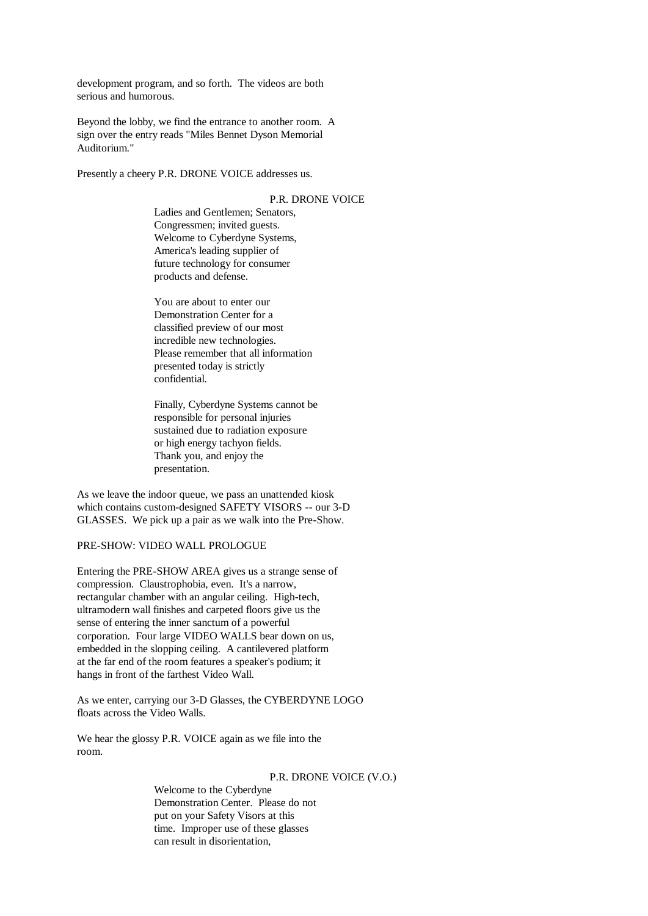development program, and so forth. The videos are both serious and humorous.

Beyond the lobby, we find the entrance to another room. A sign over the entry reads "Miles Bennet Dyson Memorial Auditorium."

Presently a cheery P.R. DRONE VOICE addresses us.

# P.R. DRONE VOICE

Ladies and Gentlemen; Senators, Congressmen; invited guests. Welcome to Cyberdyne Systems, America's leading supplier of future technology for consumer products and defense.

You are about to enter our Demonstration Center for a classified preview of our most incredible new technologies. Please remember that all information presented today is strictly confidential.

Finally, Cyberdyne Systems cannot be responsible for personal injuries sustained due to radiation exposure or high energy tachyon fields. Thank you, and enjoy the presentation.

As we leave the indoor queue, we pass an unattended kiosk which contains custom-designed SAFETY VISORS -- our 3-D GLASSES. We pick up a pair as we walk into the Pre-Show.

PRE-SHOW: VIDEO WALL PROLOGUE

Entering the PRE-SHOW AREA gives us a strange sense of compression. Claustrophobia, even. It's a narrow, rectangular chamber with an angular ceiling. High-tech, ultramodern wall finishes and carpeted floors give us the sense of entering the inner sanctum of a powerful corporation. Four large VIDEO WALLS bear down on us, embedded in the slopping ceiling. A cantilevered platform at the far end of the room features a speaker's podium; it hangs in front of the farthest Video Wall.

As we enter, carrying our 3-D Glasses, the CYBERDYNE LOGO floats across the Video Walls.

We hear the glossy P.R. VOICE again as we file into the room.

### P.R. DRONE VOICE (V.O.)

Welcome to the Cyberdyne Demonstration Center. Please do not put on your Safety Visors at this time. Improper use of these glasses can result in disorientation,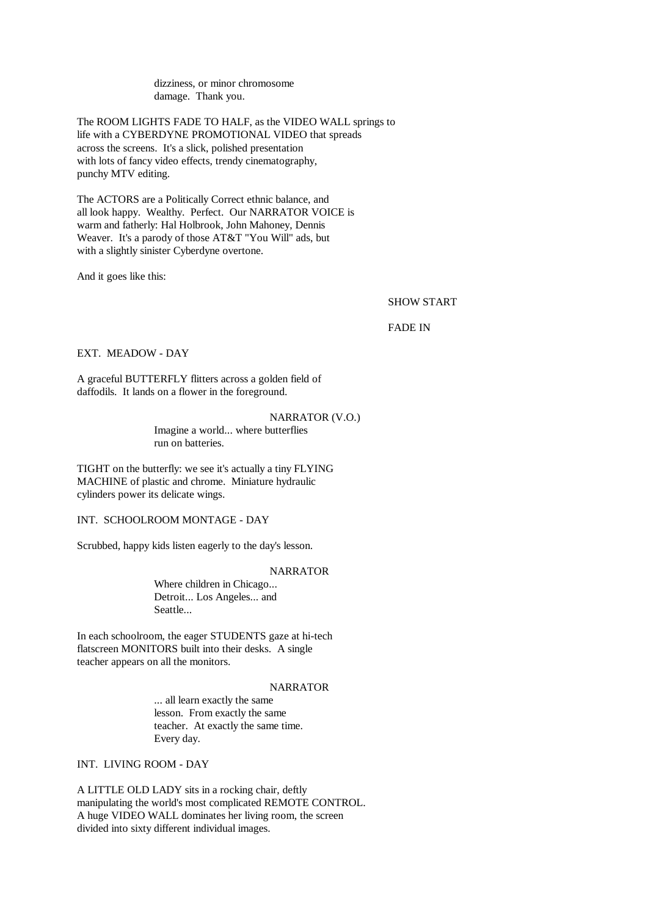dizziness, or minor chromosome damage. Thank you.

The ROOM LIGHTS FADE TO HALF, as the VIDEO WALL springs to life with a CYBERDYNE PROMOTIONAL VIDEO that spreads across the screens. It's a slick, polished presentation with lots of fancy video effects, trendy cinematography, punchy MTV editing.

The ACTORS are a Politically Correct ethnic balance, and all look happy. Wealthy. Perfect. Our NARRATOR VOICE is warm and fatherly: Hal Holbrook, John Mahoney, Dennis Weaver. It's a parody of those AT&T "You Will" ads, but with a slightly sinister Cyberdyne overtone.

And it goes like this:

SHOW START

FADE IN

EXT. MEADOW - DAY

A graceful BUTTERFLY flitters across a golden field of daffodils. It lands on a flower in the foreground.

#### NARRATOR (V.O.)

Imagine a world... where butterflies run on batteries.

TIGHT on the butterfly: we see it's actually a tiny FLYING MACHINE of plastic and chrome. Miniature hydraulic cylinders power its delicate wings.

INT. SCHOOLROOM MONTAGE - DAY

Scrubbed, happy kids listen eagerly to the day's lesson.

### NARRATOR

Where children in Chicago... Detroit... Los Angeles... and Seattle...

In each schoolroom, the eager STUDENTS gaze at hi-tech flatscreen MONITORS built into their desks. A single teacher appears on all the monitors.

# NARRATOR

... all learn exactly the same lesson. From exactly the same teacher. At exactly the same time. Every day.

INT. LIVING ROOM - DAY

A LITTLE OLD LADY sits in a rocking chair, deftly manipulating the world's most complicated REMOTE CONTROL. A huge VIDEO WALL dominates her living room, the screen divided into sixty different individual images.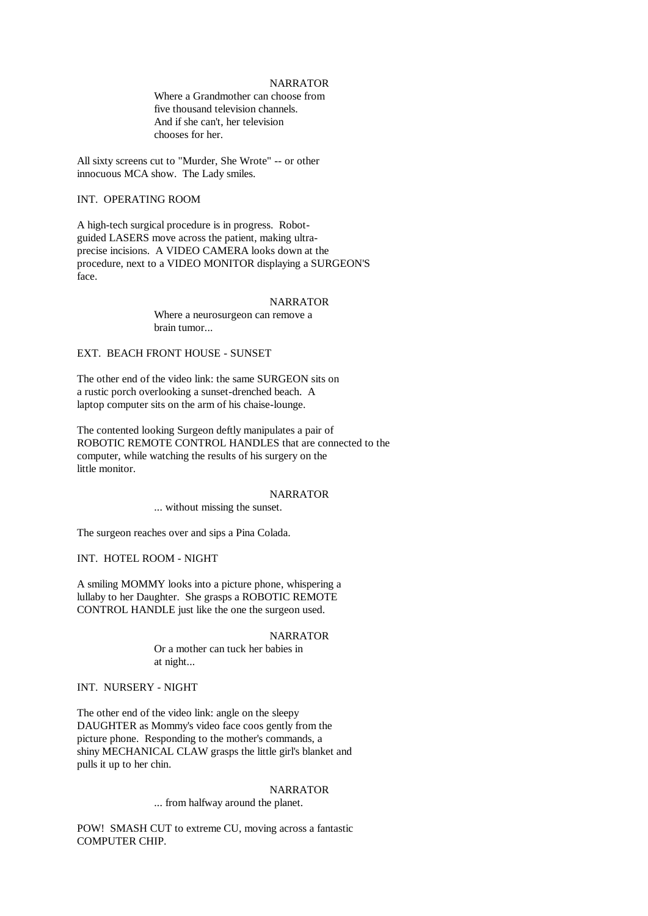# NARRATOR

Where a Grandmother can choose from five thousand television channels. And if she can't, her television chooses for her.

All sixty screens cut to "Murder, She Wrote" -- or other innocuous MCA show. The Lady smiles.

# INT. OPERATING ROOM

A high-tech surgical procedure is in progress. Robotguided LASERS move across the patient, making ultraprecise incisions. A VIDEO CAMERA looks down at the procedure, next to a VIDEO MONITOR displaying a SURGEON'S face.

## NARRATOR

Where a neurosurgeon can remove a brain tumor...

# EXT. BEACH FRONT HOUSE - SUNSET

The other end of the video link: the same SURGEON sits on a rustic porch overlooking a sunset-drenched beach. A laptop computer sits on the arm of his chaise-lounge.

The contented looking Surgeon deftly manipulates a pair of ROBOTIC REMOTE CONTROL HANDLES that are connected to the computer, while watching the results of his surgery on the little monitor.

### NARRATOR

... without missing the sunset.

The surgeon reaches over and sips a Pina Colada.

INT. HOTEL ROOM - NIGHT

A smiling MOMMY looks into a picture phone, whispering a lullaby to her Daughter. She grasps a ROBOTIC REMOTE CONTROL HANDLE just like the one the surgeon used.

#### NARRATOR

Or a mother can tuck her babies in at night...

# INT. NURSERY - NIGHT

The other end of the video link: angle on the sleepy DAUGHTER as Mommy's video face coos gently from the picture phone. Responding to the mother's commands, a shiny MECHANICAL CLAW grasps the little girl's blanket and pulls it up to her chin.

# NARRATOR

... from halfway around the planet.

POW! SMASH CUT to extreme CU, moving across a fantastic COMPUTER CHIP.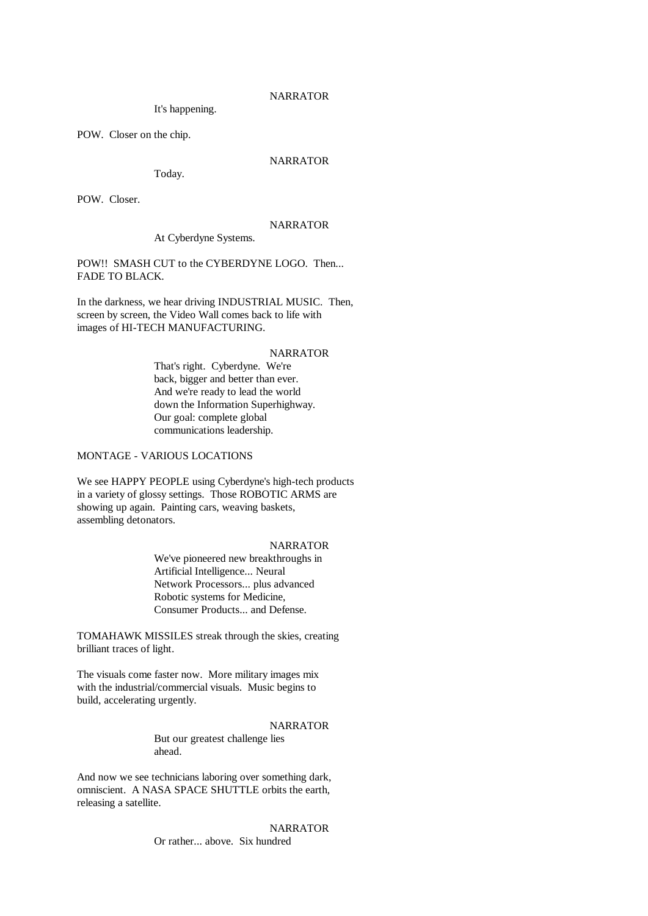It's happening.

POW. Closer on the chip.

# NARRATOR

Today.

POW. Closer.

# NARRATOR

At Cyberdyne Systems.

POW!! SMASH CUT to the CYBERDYNE LOGO. Then... FADE TO BLACK.

In the darkness, we hear driving INDUSTRIAL MUSIC. Then, screen by screen, the Video Wall comes back to life with images of HI-TECH MANUFACTURING.

### NARRATOR

That's right. Cyberdyne. We're back, bigger and better than ever. And we're ready to lead the world down the Information Superhighway. Our goal: complete global communications leadership.

# MONTAGE - VARIOUS LOCATIONS

We see HAPPY PEOPLE using Cyberdyne's high-tech products in a variety of glossy settings. Those ROBOTIC ARMS are showing up again. Painting cars, weaving baskets, assembling detonators.

# NARRATOR

We've pioneered new breakthroughs in Artificial Intelligence... Neural Network Processors... plus advanced Robotic systems for Medicine, Consumer Products... and Defense.

TOMAHAWK MISSILES streak through the skies, creating brilliant traces of light.

The visuals come faster now. More military images mix with the industrial/commercial visuals. Music begins to build, accelerating urgently.

### NARRATOR

But our greatest challenge lies ahead.

And now we see technicians laboring over something dark, omniscient. A NASA SPACE SHUTTLE orbits the earth, releasing a satellite.

> NARRATOR Or rather... above. Six hundred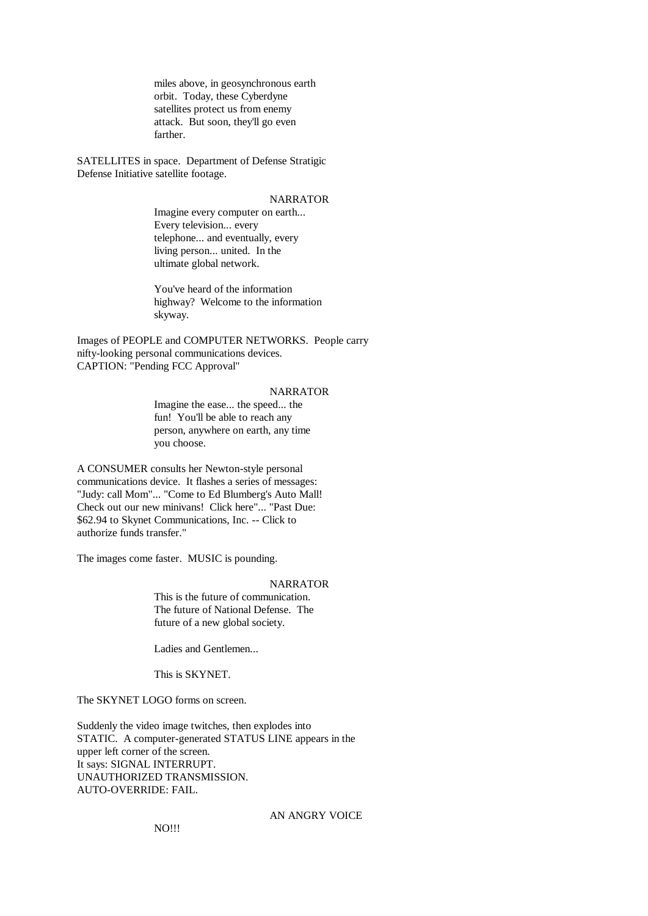miles above, in geosynchronous earth orbit. Today, these Cyberdyne satellites protect us from enemy attack. But soon, they'll go even farther.

SATELLITES in space. Department of Defense Stratigic Defense Initiative satellite footage.

# NARRATOR

Imagine every computer on earth... Every television... every telephone... and eventually, every living person... united. In the ultimate global network.

You've heard of the information highway? Welcome to the information skyway.

Images of PEOPLE and COMPUTER NETWORKS. People carry nifty-looking personal communications devices. CAPTION: "Pending FCC Approval"

## NARRATOR

Imagine the ease... the speed... the fun! You'll be able to reach any person, anywhere on earth, any time you choose.

A CONSUMER consults her Newton-style personal communications device. It flashes a series of messages: "Judy: call Mom"... "Come to Ed Blumberg's Auto Mall! Check out our new minivans! Click here"... "Past Due: \$62.94 to Skynet Communications, Inc. -- Click to authorize funds transfer."

The images come faster. MUSIC is pounding.

## **NARRATOR**

This is the future of communication. The future of National Defense. The future of a new global society.

Ladies and Gentlemen...

This is SKYNET.

The SKYNET LOGO forms on screen.

Suddenly the video image twitches, then explodes into STATIC. A computer-generated STATUS LINE appears in the upper left corner of the screen. It says: SIGNAL INTERRUPT. UNAUTHORIZED TRANSMISSION. AUTO-OVERRIDE: FAIL.

# AN ANGRY VOICE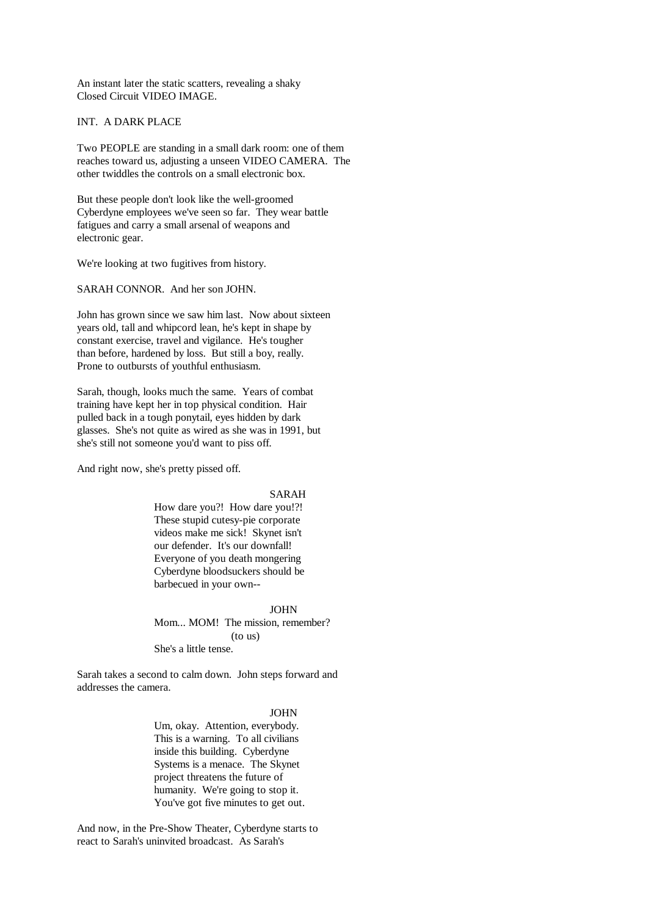An instant later the static scatters, revealing a shaky Closed Circuit VIDEO IMAGE.

INT. A DARK PLACE

Two PEOPLE are standing in a small dark room: one of them reaches toward us, adjusting a unseen VIDEO CAMERA. The other twiddles the controls on a small electronic box.

But these people don't look like the well-groomed Cyberdyne employees we've seen so far. They wear battle fatigues and carry a small arsenal of weapons and electronic gear.

We're looking at two fugitives from history.

SARAH CONNOR. And her son JOHN.

John has grown since we saw him last. Now about sixteen years old, tall and whipcord lean, he's kept in shape by constant exercise, travel and vigilance. He's tougher than before, hardened by loss. But still a boy, really. Prone to outbursts of youthful enthusiasm.

Sarah, though, looks much the same. Years of combat training have kept her in top physical condition. Hair pulled back in a tough ponytail, eyes hidden by dark glasses. She's not quite as wired as she was in 1991, but she's still not someone you'd want to piss off.

And right now, she's pretty pissed off.

SARAH

How dare you?! How dare you!?! These stupid cutesy-pie corporate videos make me sick! Skynet isn't our defender. It's our downfall! Everyone of you death mongering Cyberdyne bloodsuckers should be barbecued in your own--

JOHN

Mom... MOM! The mission, remember? (to us) She's a little tense.

Sarah takes a second to calm down. John steps forward and addresses the camera.

# JOHN

Um, okay. Attention, everybody. This is a warning. To all civilians inside this building. Cyberdyne Systems is a menace. The Skynet project threatens the future of humanity. We're going to stop it. You've got five minutes to get out.

And now, in the Pre-Show Theater, Cyberdyne starts to react to Sarah's uninvited broadcast. As Sarah's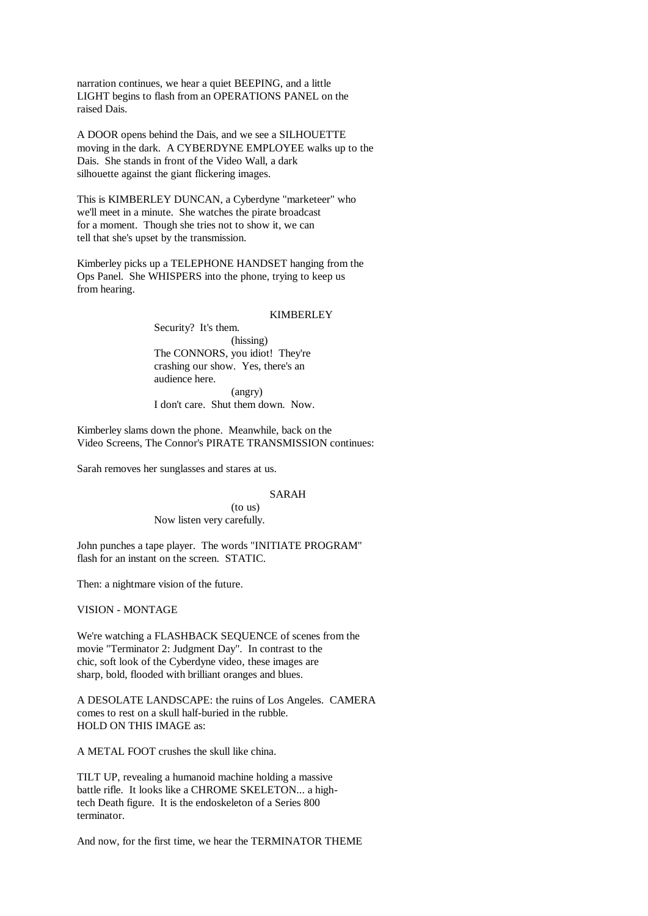narration continues, we hear a quiet BEEPING, and a little LIGHT begins to flash from an OPERATIONS PANEL on the raised Dais.

A DOOR opens behind the Dais, and we see a SILHOUETTE moving in the dark. A CYBERDYNE EMPLOYEE walks up to the Dais. She stands in front of the Video Wall, a dark silhouette against the giant flickering images.

This is KIMBERLEY DUNCAN, a Cyberdyne "marketeer" who we'll meet in a minute. She watches the pirate broadcast for a moment. Though she tries not to show it, we can tell that she's upset by the transmission.

Kimberley picks up a TELEPHONE HANDSET hanging from the Ops Panel. She WHISPERS into the phone, trying to keep us from hearing.

### **KIMBERLEY**

Security? It's them. (hissing) The CONNORS, you idiot! They're crashing our show. Yes, there's an audience here. (angry) I don't care. Shut them down. Now.

Kimberley slams down the phone. Meanwhile, back on the Video Screens, The Connor's PIRATE TRANSMISSION continues:

Sarah removes her sunglasses and stares at us.

## SARAH

(to us) Now listen very carefully.

John punches a tape player. The words "INITIATE PROGRAM" flash for an instant on the screen. STATIC.

Then: a nightmare vision of the future.

VISION - MONTAGE

We're watching a FLASHBACK SEQUENCE of scenes from the movie "Terminator 2: Judgment Day". In contrast to the chic, soft look of the Cyberdyne video, these images are sharp, bold, flooded with brilliant oranges and blues.

A DESOLATE LANDSCAPE: the ruins of Los Angeles. CAMERA comes to rest on a skull half-buried in the rubble. HOLD ON THIS IMAGE as:

A METAL FOOT crushes the skull like china.

TILT UP, revealing a humanoid machine holding a massive battle rifle. It looks like a CHROME SKELETON... a hightech Death figure. It is the endoskeleton of a Series 800 terminator.

And now, for the first time, we hear the TERMINATOR THEME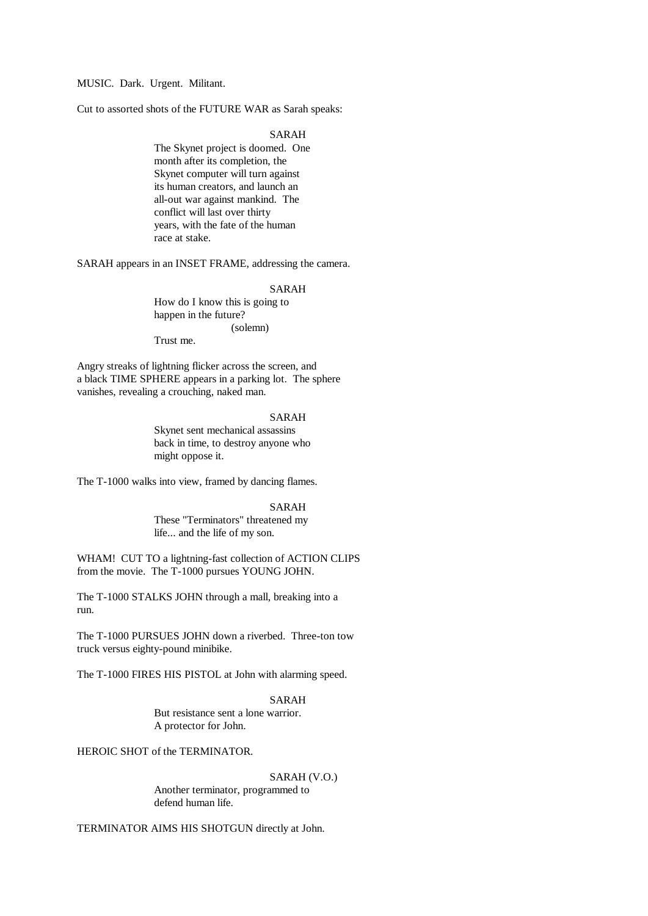MUSIC. Dark. Urgent. Militant.

Cut to assorted shots of the FUTURE WAR as Sarah speaks:

SARAH

The Skynet project is doomed. One month after its completion, the Skynet computer will turn against its human creators, and launch an all-out war against mankind. The conflict will last over thirty years, with the fate of the human race at stake.

SARAH appears in an INSET FRAME, addressing the camera.

#### SARAH

How do I know this is going to happen in the future? (solemn)

Trust me.

Angry streaks of lightning flicker across the screen, and a black TIME SPHERE appears in a parking lot. The sphere vanishes, revealing a crouching, naked man.

### SARAH

Skynet sent mechanical assassins back in time, to destroy anyone who might oppose it.

The T-1000 walks into view, framed by dancing flames.

SARAH

These "Terminators" threatened my life... and the life of my son.

WHAM! CUT TO a lightning-fast collection of ACTION CLIPS from the movie. The T-1000 pursues YOUNG JOHN.

The T-1000 STALKS JOHN through a mall, breaking into a run.

The T-1000 PURSUES JOHN down a riverbed. Three-ton tow truck versus eighty-pound minibike.

The T-1000 FIRES HIS PISTOL at John with alarming speed.

SARAH But resistance sent a lone warrior. A protector for John.

HEROIC SHOT of the TERMINATOR.

#### SARAH (V.O.)

Another terminator, programmed to defend human life.

TERMINATOR AIMS HIS SHOTGUN directly at John.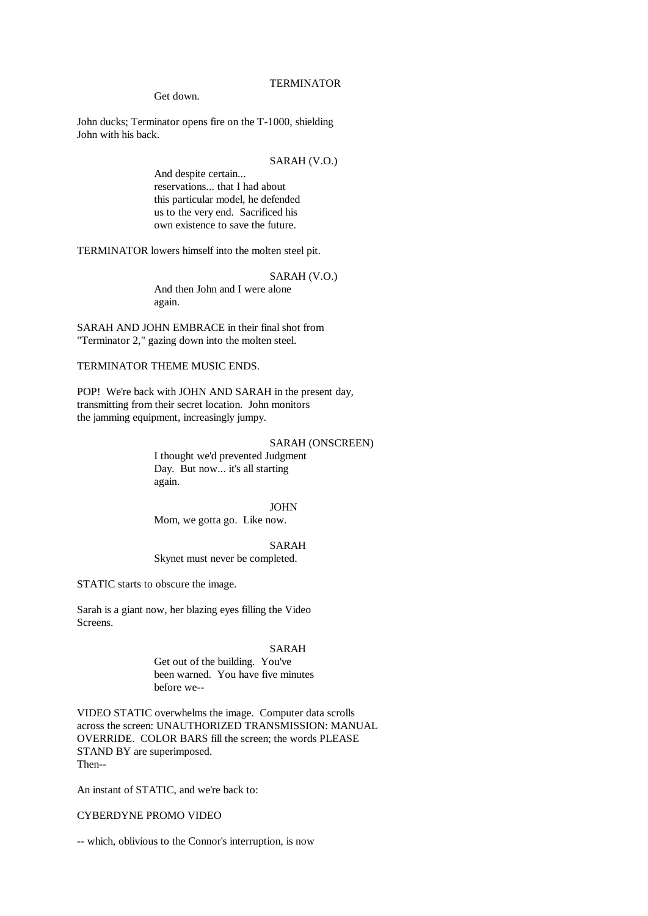### Get down.

John ducks; Terminator opens fire on the T-1000, shielding John with his back.

# SARAH (V.O.)

And despite certain... reservations... that I had about this particular model, he defended us to the very end. Sacrificed his own existence to save the future.

TERMINATOR lowers himself into the molten steel pit.

## SARAH (V.O.)

And then John and I were alone again.

SARAH AND JOHN EMBRACE in their final shot from "Terminator 2," gazing down into the molten steel.

# TERMINATOR THEME MUSIC ENDS.

POP! We're back with JOHN AND SARAH in the present day, transmitting from their secret location. John monitors the jamming equipment, increasingly jumpy.

# SARAH (ONSCREEN)

I thought we'd prevented Judgment Day. But now... it's all starting again.

### JOHN

Mom, we gotta go. Like now.

SARAH

Skynet must never be completed.

STATIC starts to obscure the image.

Sarah is a giant now, her blazing eyes filling the Video Screens.

### SARAH

Get out of the building. You've been warned. You have five minutes before we--

VIDEO STATIC overwhelms the image. Computer data scrolls across the screen: UNAUTHORIZED TRANSMISSION: MANUAL OVERRIDE. COLOR BARS fill the screen; the words PLEASE STAND BY are superimposed. Then--

An instant of STATIC, and we're back to:

# CYBERDYNE PROMO VIDEO

-- which, oblivious to the Connor's interruption, is now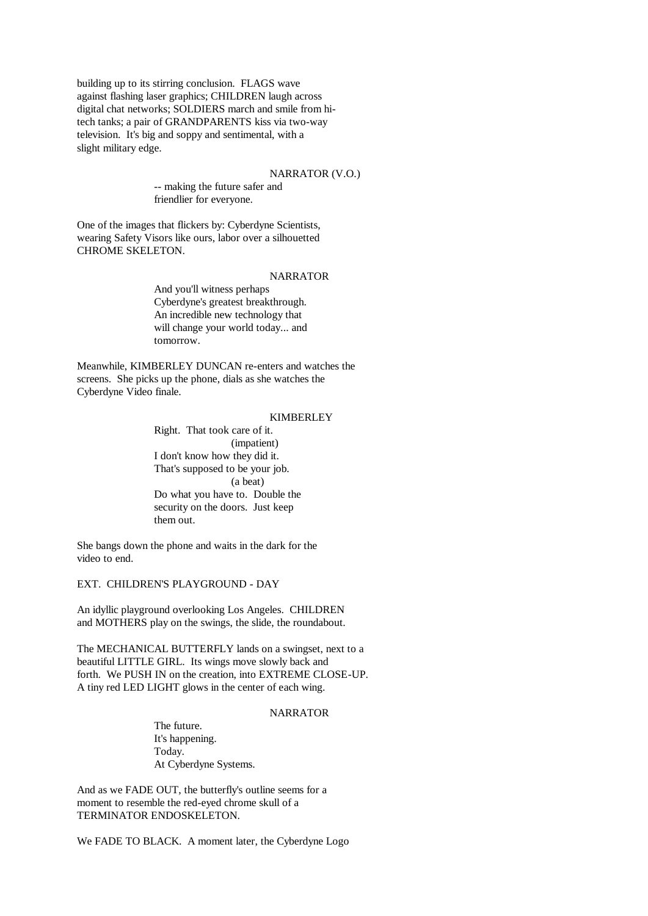building up to its stirring conclusion. FLAGS wave against flashing laser graphics; CHILDREN laugh across digital chat networks; SOLDIERS march and smile from hitech tanks; a pair of GRANDPARENTS kiss via two-way television. It's big and soppy and sentimental, with a slight military edge.

### NARRATOR (V.O.)

-- making the future safer and friendlier for everyone.

One of the images that flickers by: Cyberdyne Scientists, wearing Safety Visors like ours, labor over a silhouetted CHROME SKELETON.

### NARRATOR

And you'll witness perhaps Cyberdyne's greatest breakthrough. An incredible new technology that will change your world today... and tomorrow.

Meanwhile, KIMBERLEY DUNCAN re-enters and watches the screens. She picks up the phone, dials as she watches the Cyberdyne Video finale.

#### KIMBERLEY

Right. That took care of it. (impatient) I don't know how they did it. That's supposed to be your job. (a beat) Do what you have to. Double the security on the doors. Just keep them out.

She bangs down the phone and waits in the dark for the video to end.

EXT. CHILDREN'S PLAYGROUND - DAY

An idyllic playground overlooking Los Angeles. CHILDREN and MOTHERS play on the swings, the slide, the roundabout.

The MECHANICAL BUTTERFLY lands on a swingset, next to a beautiful LITTLE GIRL. Its wings move slowly back and forth. We PUSH IN on the creation, into EXTREME CLOSE-UP. A tiny red LED LIGHT glows in the center of each wing.

## NARRATOR

The future. It's happening. Today. At Cyberdyne Systems.

And as we FADE OUT, the butterfly's outline seems for a moment to resemble the red-eyed chrome skull of a TERMINATOR ENDOSKELETON.

We FADE TO BLACK. A moment later, the Cyberdyne Logo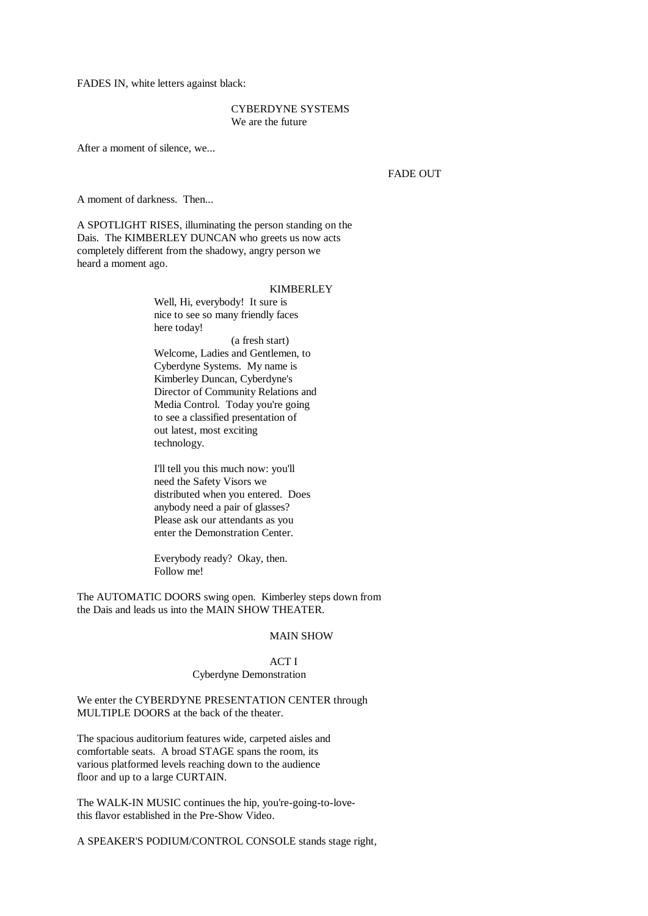FADES IN, white letters against black:

# CYBERDYNE SYSTEMS We are the future

After a moment of silence, we...

## FADE OUT

A moment of darkness. Then...

A SPOTLIGHT RISES, illuminating the person standing on the Dais. The KIMBERLEY DUNCAN who greets us now acts completely different from the shadowy, angry person we heard a moment ago.

### KIMBERLEY

Well, Hi, everybody! It sure is nice to see so many friendly faces here today!

(a fresh start) Welcome, Ladies and Gentlemen, to Cyberdyne Systems. My name is Kimberley Duncan, Cyberdyne's Director of Community Relations and Media Control. Today you're going to see a classified presentation of out latest, most exciting technology.

I'll tell you this much now: you'll need the Safety Visors we distributed when you entered. Does anybody need a pair of glasses? Please ask our attendants as you enter the Demonstration Center.

Everybody ready? Okay, then. Follow me!

The AUTOMATIC DOORS swing open. Kimberley steps down from the Dais and leads us into the MAIN SHOW THEATER.

# MAIN SHOW

# ACT I Cyberdyne Demonstration

We enter the CYBERDYNE PRESENTATION CENTER through MULTIPLE DOORS at the back of the theater.

The spacious auditorium features wide, carpeted aisles and comfortable seats. A broad STAGE spans the room, its various platformed levels reaching down to the audience floor and up to a large CURTAIN.

The WALK-IN MUSIC continues the hip, you're-going-to-lovethis flavor established in the Pre-Show Video.

A SPEAKER'S PODIUM/CONTROL CONSOLE stands stage right,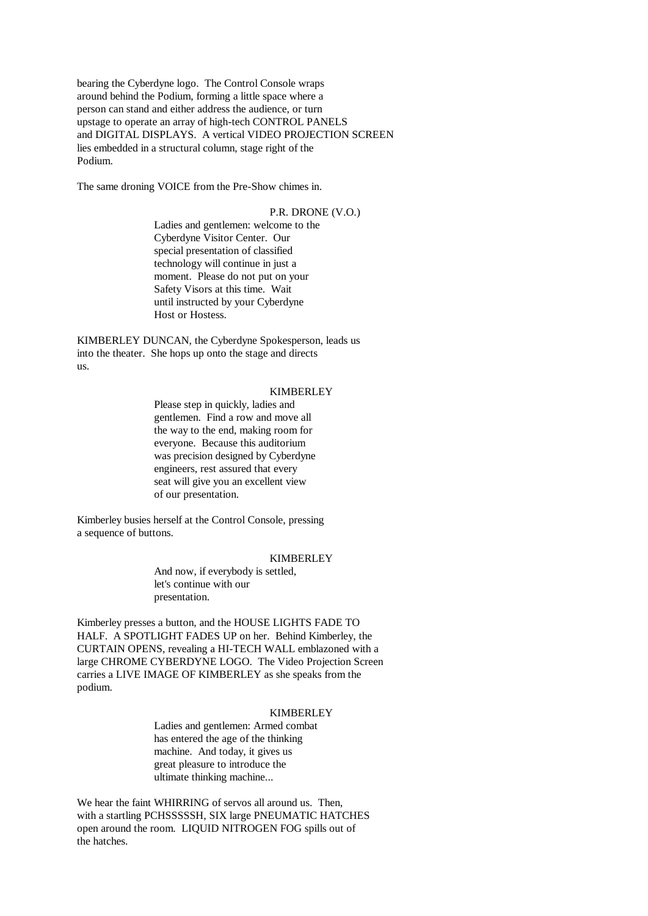bearing the Cyberdyne logo. The Control Console wraps around behind the Podium, forming a little space where a person can stand and either address the audience, or turn upstage to operate an array of high-tech CONTROL PANELS and DIGITAL DISPLAYS. A vertical VIDEO PROJECTION SCREEN lies embedded in a structural column, stage right of the Podium.

The same droning VOICE from the Pre-Show chimes in.

# P.R. DRONE (V.O.)

Ladies and gentlemen: welcome to the Cyberdyne Visitor Center. Our special presentation of classified technology will continue in just a moment. Please do not put on your Safety Visors at this time. Wait until instructed by your Cyberdyne Host or Hostess.

KIMBERLEY DUNCAN, the Cyberdyne Spokesperson, leads us into the theater. She hops up onto the stage and directs us.

### KIMBERLEY

Please step in quickly, ladies and gentlemen. Find a row and move all the way to the end, making room for everyone. Because this auditorium was precision designed by Cyberdyne engineers, rest assured that every seat will give you an excellent view of our presentation.

Kimberley busies herself at the Control Console, pressing a sequence of buttons.

## **KIMBERLEY**

And now, if everybody is settled, let's continue with our presentation.

Kimberley presses a button, and the HOUSE LIGHTS FADE TO HALF. A SPOTLIGHT FADES UP on her. Behind Kimberley, the CURTAIN OPENS, revealing a HI-TECH WALL emblazoned with a large CHROME CYBERDYNE LOGO. The Video Projection Screen carries a LIVE IMAGE OF KIMBERLEY as she speaks from the podium.

# KIMBERLEY

Ladies and gentlemen: Armed combat has entered the age of the thinking machine. And today, it gives us great pleasure to introduce the ultimate thinking machine...

We hear the faint WHIRRING of servos all around us. Then, with a startling PCHSSSSSH, SIX large PNEUMATIC HATCHES open around the room. LIQUID NITROGEN FOG spills out of the hatches.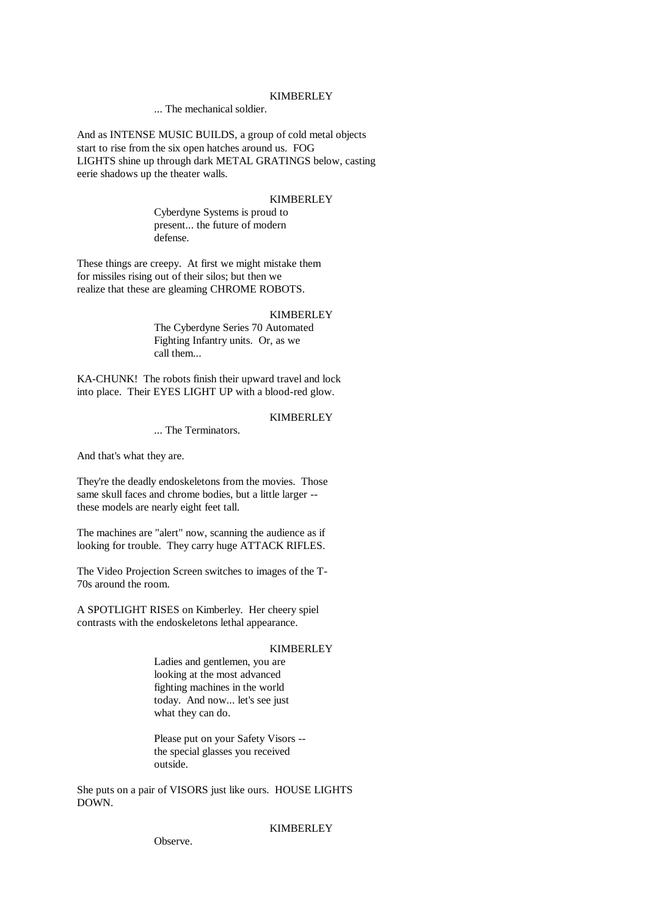### KIMBERLEY

... The mechanical soldier.

And as INTENSE MUSIC BUILDS, a group of cold metal objects start to rise from the six open hatches around us. FOG LIGHTS shine up through dark METAL GRATINGS below, casting eerie shadows up the theater walls.

# **KIMBERLEY**

Cyberdyne Systems is proud to present... the future of modern defense.

These things are creepy. At first we might mistake them for missiles rising out of their silos; but then we realize that these are gleaming CHROME ROBOTS.

### **KIMBERLEY**

The Cyberdyne Series 70 Automated Fighting Infantry units. Or, as we call them...

KA-CHUNK! The robots finish their upward travel and lock into place. Their EYES LIGHT UP with a blood-red glow.

# **KIMBERLEY**

## ... The Terminators.

And that's what they are.

They're the deadly endoskeletons from the movies. Those same skull faces and chrome bodies, but a little larger - these models are nearly eight feet tall.

The machines are "alert" now, scanning the audience as if looking for trouble. They carry huge ATTACK RIFLES.

The Video Projection Screen switches to images of the T-70s around the room.

A SPOTLIGHT RISES on Kimberley. Her cheery spiel contrasts with the endoskeletons lethal appearance.

# KIMBERLEY

Ladies and gentlemen, you are looking at the most advanced fighting machines in the world today. And now... let's see just what they can do.

Please put on your Safety Visors - the special glasses you received outside.

She puts on a pair of VISORS just like ours. HOUSE LIGHTS DOWN.

**KIMBERLEY** 

Observe.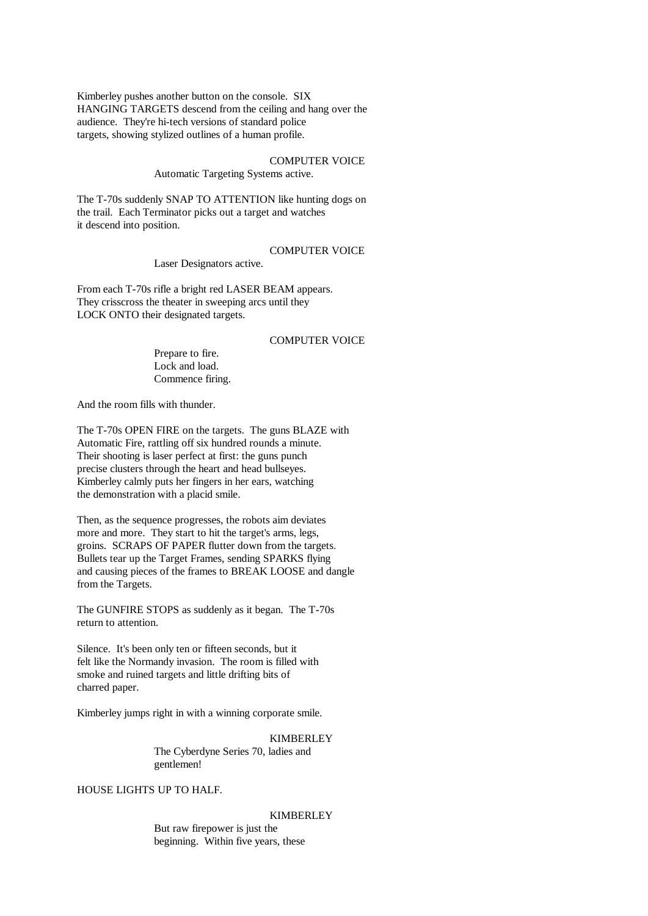Kimberley pushes another button on the console. SIX HANGING TARGETS descend from the ceiling and hang over the audience. They're hi-tech versions of standard police targets, showing stylized outlines of a human profile.

# COMPUTER VOICE

Automatic Targeting Systems active.

The T-70s suddenly SNAP TO ATTENTION like hunting dogs on the trail. Each Terminator picks out a target and watches it descend into position.

# COMPUTER VOICE

Laser Designators active.

From each T-70s rifle a bright red LASER BEAM appears. They crisscross the theater in sweeping arcs until they LOCK ONTO their designated targets.

# COMPUTER VOICE

Prepare to fire. Lock and load. Commence firing.

And the room fills with thunder.

The T-70s OPEN FIRE on the targets. The guns BLAZE with Automatic Fire, rattling off six hundred rounds a minute. Their shooting is laser perfect at first: the guns punch precise clusters through the heart and head bullseyes. Kimberley calmly puts her fingers in her ears, watching the demonstration with a placid smile.

Then, as the sequence progresses, the robots aim deviates more and more. They start to hit the target's arms, legs, groins. SCRAPS OF PAPER flutter down from the targets. Bullets tear up the Target Frames, sending SPARKS flying and causing pieces of the frames to BREAK LOOSE and dangle from the Targets.

The GUNFIRE STOPS as suddenly as it began. The T-70s return to attention.

Silence. It's been only ten or fifteen seconds, but it felt like the Normandy invasion. The room is filled with smoke and ruined targets and little drifting bits of charred paper.

Kimberley jumps right in with a winning corporate smile.

**KIMBERLEY** The Cyberdyne Series 70, ladies and

gentlemen!

HOUSE LIGHTS UP TO HALF.

## **KIMBERLEY**

But raw firepower is just the beginning. Within five years, these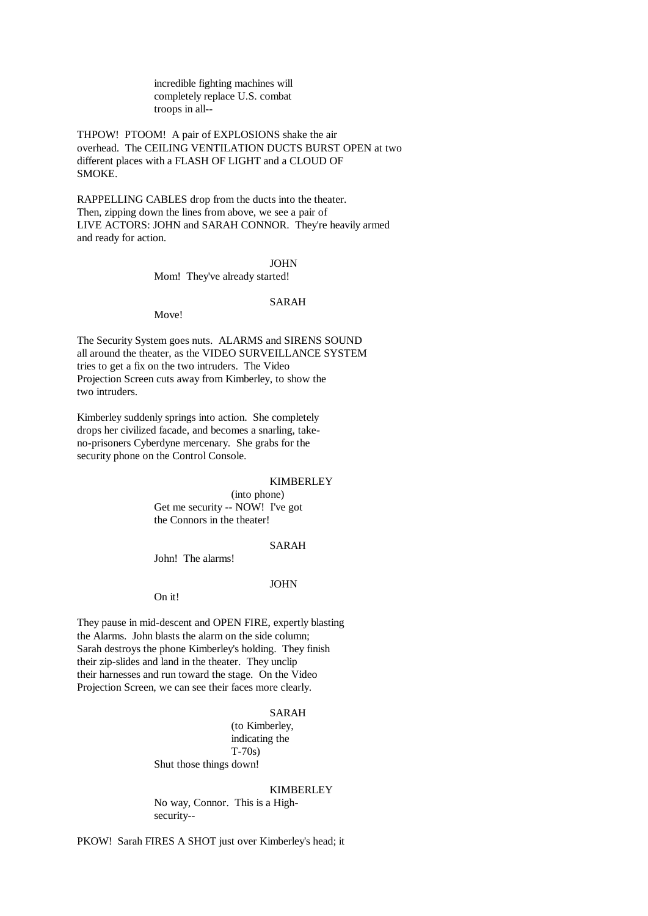incredible fighting machines will completely replace U.S. combat troops in all--

THPOW! PTOOM! A pair of EXPLOSIONS shake the air overhead. The CEILING VENTILATION DUCTS BURST OPEN at two different places with a FLASH OF LIGHT and a CLOUD OF SMOKE.

RAPPELLING CABLES drop from the ducts into the theater. Then, zipping down the lines from above, we see a pair of LIVE ACTORS: JOHN and SARAH CONNOR. They're heavily armed and ready for action.

### JOHN

Mom! They've already started!

### SARAH

Move!

The Security System goes nuts. ALARMS and SIRENS SOUND all around the theater, as the VIDEO SURVEILLANCE SYSTEM tries to get a fix on the two intruders. The Video Projection Screen cuts away from Kimberley, to show the two intruders.

Kimberley suddenly springs into action. She completely drops her civilized facade, and becomes a snarling, takeno-prisoners Cyberdyne mercenary. She grabs for the security phone on the Control Console.

## **KIMBERLEY**

(into phone) Get me security -- NOW! I've got the Connors in the theater!

# SARAH

John! The alarms!

#### JOHN

On it!

They pause in mid-descent and OPEN FIRE, expertly blasting the Alarms. John blasts the alarm on the side column; Sarah destroys the phone Kimberley's holding. They finish their zip-slides and land in the theater. They unclip their harnesses and run toward the stage. On the Video Projection Screen, we can see their faces more clearly.

# SARAH

(to Kimberley, indicating the T-70s) Shut those things down!

#### KIMBERLEY

No way, Connor. This is a Highsecurity--

PKOW! Sarah FIRES A SHOT just over Kimberley's head; it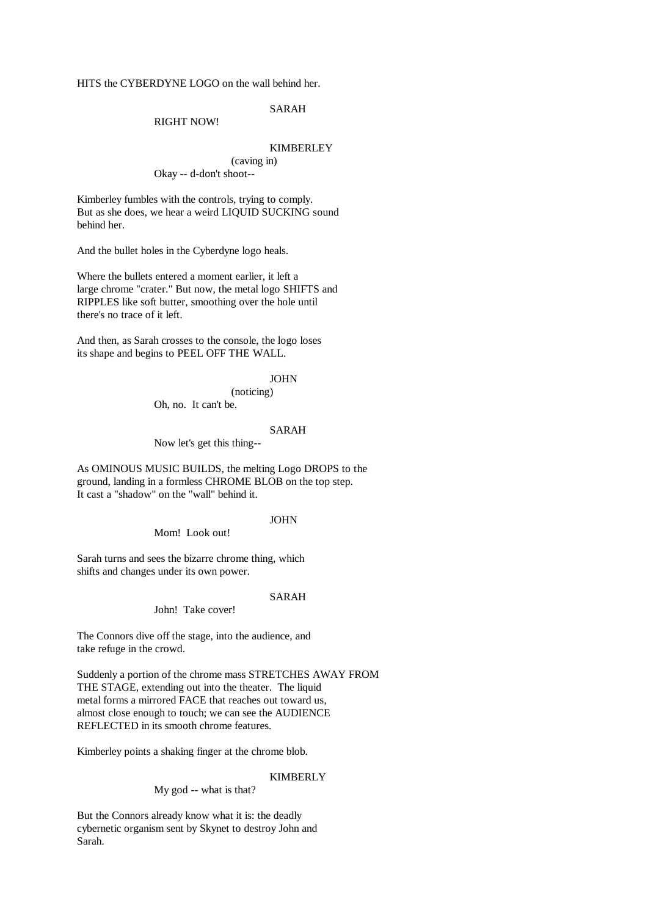HITS the CYBERDYNE LOGO on the wall behind her.

SARAH

### RIGHT NOW!

## KIMBERLEY

(caving in) Okay -- d-don't shoot--

Kimberley fumbles with the controls, trying to comply. But as she does, we hear a weird LIQUID SUCKING sound behind her.

And the bullet holes in the Cyberdyne logo heals.

Where the bullets entered a moment earlier, it left a large chrome "crater." But now, the metal logo SHIFTS and RIPPLES like soft butter, smoothing over the hole until there's no trace of it left.

And then, as Sarah crosses to the console, the logo loses its shape and begins to PEEL OFF THE WALL.

#### JOHN

# (noticing)

Oh, no. It can't be.

#### SARAH

Now let's get this thing--

As OMINOUS MUSIC BUILDS, the melting Logo DROPS to the ground, landing in a formless CHROME BLOB on the top step. It cast a "shadow" on the "wall" behind it.

### JOHN

Mom! Look out!

Sarah turns and sees the bizarre chrome thing, which shifts and changes under its own power.

### SARAH

John! Take cover!

The Connors dive off the stage, into the audience, and take refuge in the crowd.

Suddenly a portion of the chrome mass STRETCHES AWAY FROM THE STAGE, extending out into the theater. The liquid metal forms a mirrored FACE that reaches out toward us, almost close enough to touch; we can see the AUDIENCE REFLECTED in its smooth chrome features.

Kimberley points a shaking finger at the chrome blob.

### KIMBERLY

My god -- what is that?

But the Connors already know what it is: the deadly cybernetic organism sent by Skynet to destroy John and Sarah.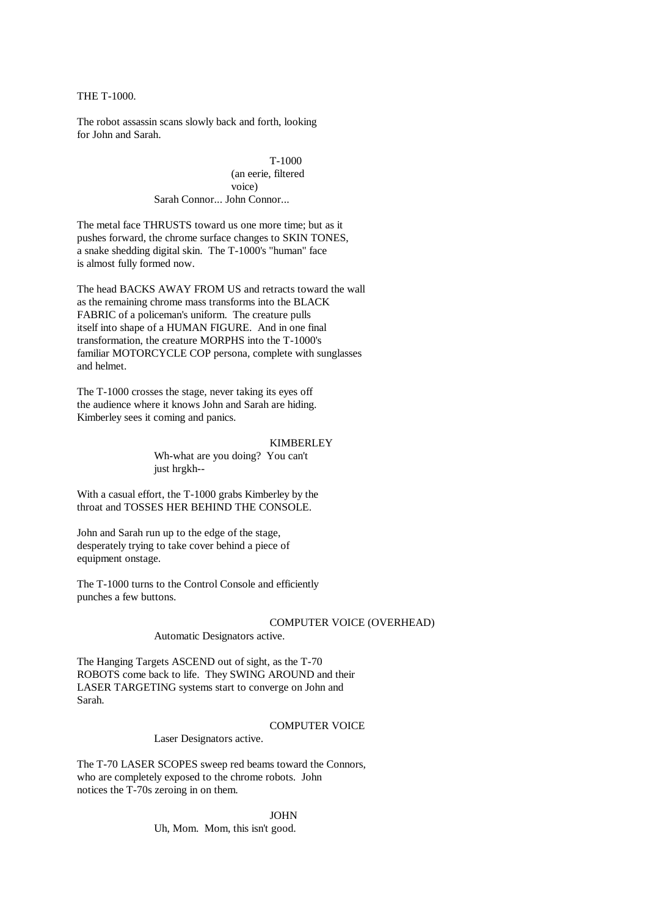THE T-1000.

The robot assassin scans slowly back and forth, looking for John and Sarah.

> T-1000 (an eerie, filtered voice) Sarah Connor... John Connor...

The metal face THRUSTS toward us one more time; but as it pushes forward, the chrome surface changes to SKIN TONES, a snake shedding digital skin. The T-1000's "human" face is almost fully formed now.

The head BACKS AWAY FROM US and retracts toward the wall as the remaining chrome mass transforms into the BLACK FABRIC of a policeman's uniform. The creature pulls itself into shape of a HUMAN FIGURE. And in one final transformation, the creature MORPHS into the T-1000's familiar MOTORCYCLE COP persona, complete with sunglasses and helmet.

The T-1000 crosses the stage, never taking its eyes off the audience where it knows John and Sarah are hiding. Kimberley sees it coming and panics.

### KIMBERLEY

Wh-what are you doing? You can't just hrgkh--

With a casual effort, the T-1000 grabs Kimberley by the throat and TOSSES HER BEHIND THE CONSOLE.

John and Sarah run up to the edge of the stage, desperately trying to take cover behind a piece of equipment onstage.

The T-1000 turns to the Control Console and efficiently punches a few buttons.

## COMPUTER VOICE (OVERHEAD)

Automatic Designators active.

The Hanging Targets ASCEND out of sight, as the T-70 ROBOTS come back to life. They SWING AROUND and their LASER TARGETING systems start to converge on John and Sarah.

## COMPUTER VOICE

Laser Designators active.

The T-70 LASER SCOPES sweep red beams toward the Connors, who are completely exposed to the chrome robots. John notices the T-70s zeroing in on them.

JOHN

Uh, Mom. Mom, this isn't good.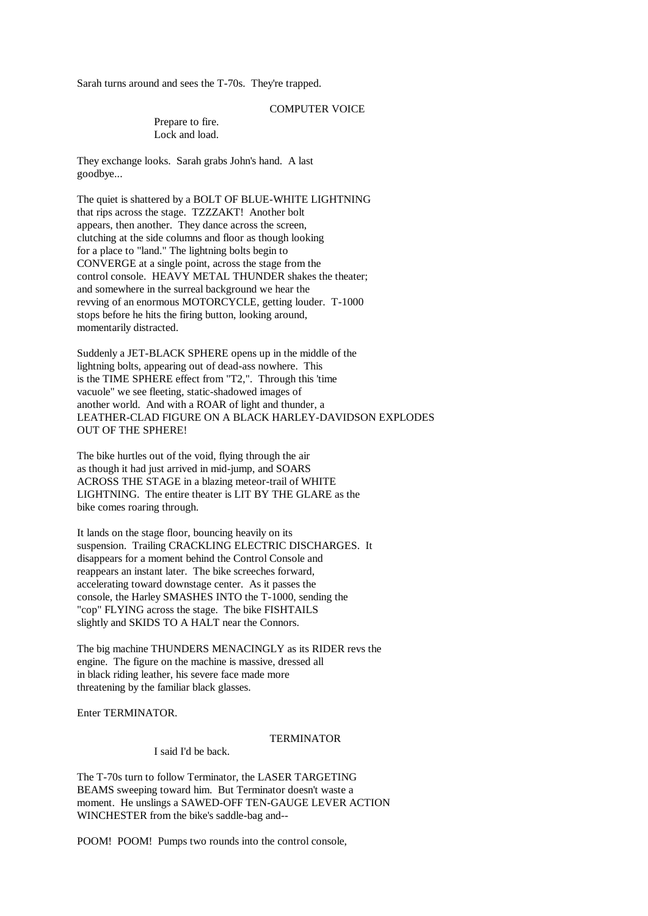Sarah turns around and sees the T-70s. They're trapped.

# COMPUTER VOICE

Prepare to fire. Lock and load.

They exchange looks. Sarah grabs John's hand. A last goodbye...

The quiet is shattered by a BOLT OF BLUE-WHITE LIGHTNING that rips across the stage. TZZZAKT! Another bolt appears, then another. They dance across the screen, clutching at the side columns and floor as though looking for a place to "land." The lightning bolts begin to CONVERGE at a single point, across the stage from the control console. HEAVY METAL THUNDER shakes the theater; and somewhere in the surreal background we hear the revving of an enormous MOTORCYCLE, getting louder. T-1000 stops before he hits the firing button, looking around, momentarily distracted.

Suddenly a JET-BLACK SPHERE opens up in the middle of the lightning bolts, appearing out of dead-ass nowhere. This is the TIME SPHERE effect from "T2,". Through this 'time vacuole" we see fleeting, static-shadowed images of another world. And with a ROAR of light and thunder, a LEATHER-CLAD FIGURE ON A BLACK HARLEY-DAVIDSON EXPLODES OUT OF THE SPHERE!

The bike hurtles out of the void, flying through the air as though it had just arrived in mid-jump, and SOARS ACROSS THE STAGE in a blazing meteor-trail of WHITE LIGHTNING. The entire theater is LIT BY THE GLARE as the bike comes roaring through.

It lands on the stage floor, bouncing heavily on its suspension. Trailing CRACKLING ELECTRIC DISCHARGES. It disappears for a moment behind the Control Console and reappears an instant later. The bike screeches forward, accelerating toward downstage center. As it passes the console, the Harley SMASHES INTO the T-1000, sending the "cop" FLYING across the stage. The bike FISHTAILS slightly and SKIDS TO A HALT near the Connors.

The big machine THUNDERS MENACINGLY as its RIDER revs the engine. The figure on the machine is massive, dressed all in black riding leather, his severe face made more threatening by the familiar black glasses.

Enter TERMINATOR.

#### TERMINATOR

I said I'd be back.

The T-70s turn to follow Terminator, the LASER TARGETING BEAMS sweeping toward him. But Terminator doesn't waste a moment. He unslings a SAWED-OFF TEN-GAUGE LEVER ACTION WINCHESTER from the bike's saddle-bag and--

POOM! POOM! Pumps two rounds into the control console,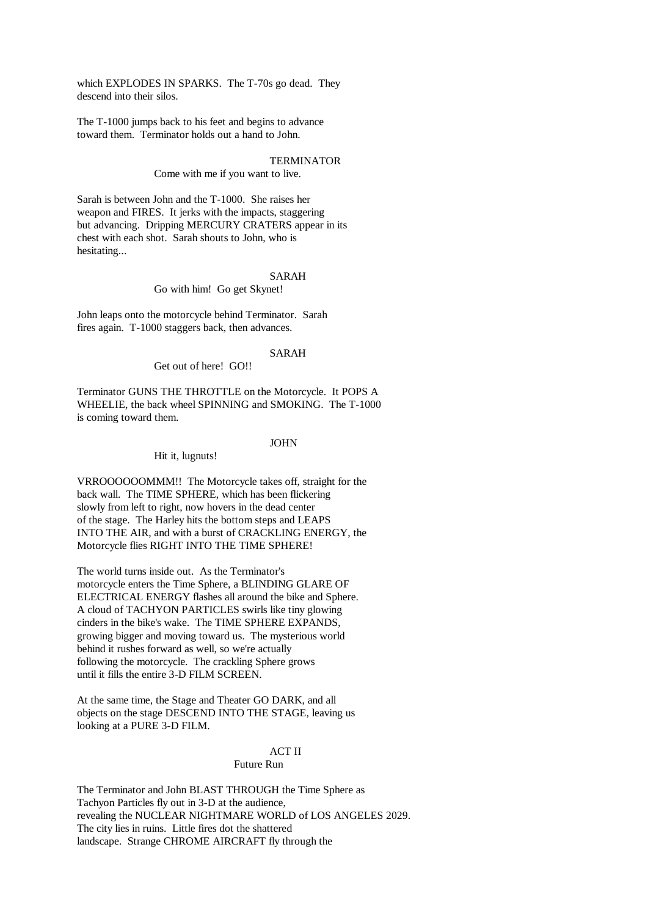which EXPLODES IN SPARKS. The T-70s go dead. They descend into their silos.

The T-1000 jumps back to his feet and begins to advance toward them. Terminator holds out a hand to John.

# **TERMINATOR**

Come with me if you want to live.

Sarah is between John and the T-1000. She raises her weapon and FIRES. It jerks with the impacts, staggering but advancing. Dripping MERCURY CRATERS appear in its chest with each shot. Sarah shouts to John, who is hesitating...

#### SARAH

Go with him! Go get Skynet!

John leaps onto the motorcycle behind Terminator. Sarah fires again. T-1000 staggers back, then advances.

### SARAH

Get out of here! GO!!

Terminator GUNS THE THROTTLE on the Motorcycle. It POPS A WHEELIE, the back wheel SPINNING and SMOKING. The T-1000 is coming toward them.

### JOHN

Hit it, lugnuts!

VRROOOOOOMMM!! The Motorcycle takes off, straight for the back wall. The TIME SPHERE, which has been flickering slowly from left to right, now hovers in the dead center of the stage. The Harley hits the bottom steps and LEAPS INTO THE AIR, and with a burst of CRACKLING ENERGY, the Motorcycle flies RIGHT INTO THE TIME SPHERE!

The world turns inside out. As the Terminator's motorcycle enters the Time Sphere, a BLINDING GLARE OF ELECTRICAL ENERGY flashes all around the bike and Sphere. A cloud of TACHYON PARTICLES swirls like tiny glowing cinders in the bike's wake. The TIME SPHERE EXPANDS, growing bigger and moving toward us. The mysterious world behind it rushes forward as well, so we're actually following the motorcycle. The crackling Sphere grows until it fills the entire 3-D FILM SCREEN.

At the same time, the Stage and Theater GO DARK, and all objects on the stage DESCEND INTO THE STAGE, leaving us looking at a PURE 3-D FILM.

# ACT II

# Future Run

The Terminator and John BLAST THROUGH the Time Sphere as Tachyon Particles fly out in 3-D at the audience, revealing the NUCLEAR NIGHTMARE WORLD of LOS ANGELES 2029. The city lies in ruins. Little fires dot the shattered landscape. Strange CHROME AIRCRAFT fly through the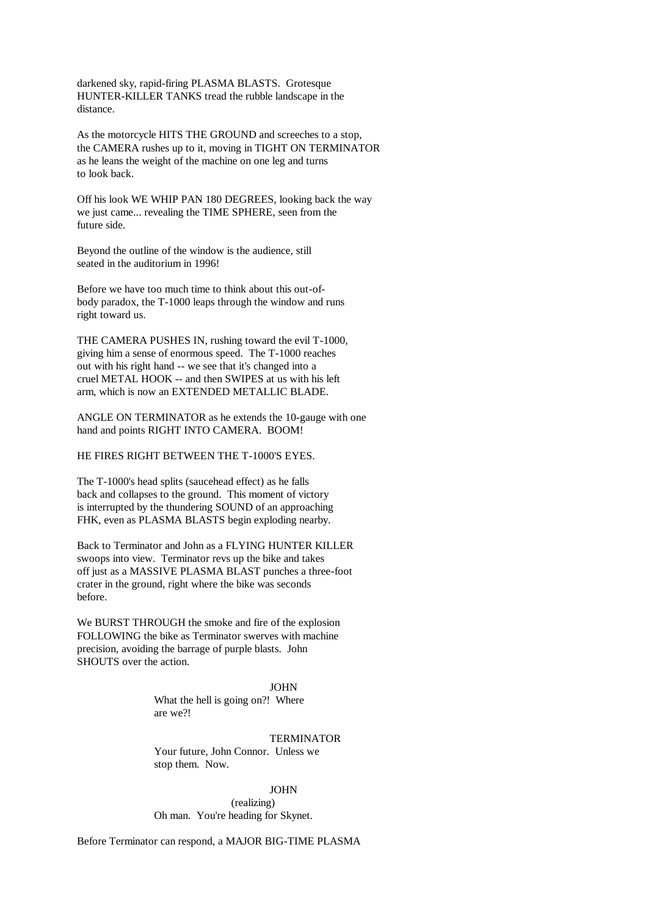darkened sky, rapid-firing PLASMA BLASTS. Grotesque HUNTER-KILLER TANKS tread the rubble landscape in the distance.

As the motorcycle HITS THE GROUND and screeches to a stop, the CAMERA rushes up to it, moving in TIGHT ON TERMINATOR as he leans the weight of the machine on one leg and turns to look back.

Off his look WE WHIP PAN 180 DEGREES, looking back the way we just came... revealing the TIME SPHERE, seen from the future side.

Beyond the outline of the window is the audience, still seated in the auditorium in 1996!

Before we have too much time to think about this out-ofbody paradox, the T-1000 leaps through the window and runs right toward us.

THE CAMERA PUSHES IN, rushing toward the evil T-1000, giving him a sense of enormous speed. The T-1000 reaches out with his right hand -- we see that it's changed into a cruel METAL HOOK -- and then SWIPES at us with his left arm, which is now an EXTENDED METALLIC BLADE.

ANGLE ON TERMINATOR as he extends the 10-gauge with one hand and points RIGHT INTO CAMERA. BOOM!

HE FIRES RIGHT BETWEEN THE T-1000'S EYES.

The T-1000's head splits (saucehead effect) as he falls back and collapses to the ground. This moment of victory is interrupted by the thundering SOUND of an approaching FHK, even as PLASMA BLASTS begin exploding nearby.

Back to Terminator and John as a FLYING HUNTER KILLER swoops into view. Terminator revs up the bike and takes off just as a MASSIVE PLASMA BLAST punches a three-foot crater in the ground, right where the bike was seconds before.

We BURST THROUGH the smoke and fire of the explosion FOLLOWING the bike as Terminator swerves with machine precision, avoiding the barrage of purple blasts. John SHOUTS over the action.

## JOHN

What the hell is going on?! Where are we?!

### TERMINATOR

Your future, John Connor. Unless we stop them. Now.

JOHN (realizing) Oh man. You're heading for Skynet.

Before Terminator can respond, a MAJOR BIG-TIME PLASMA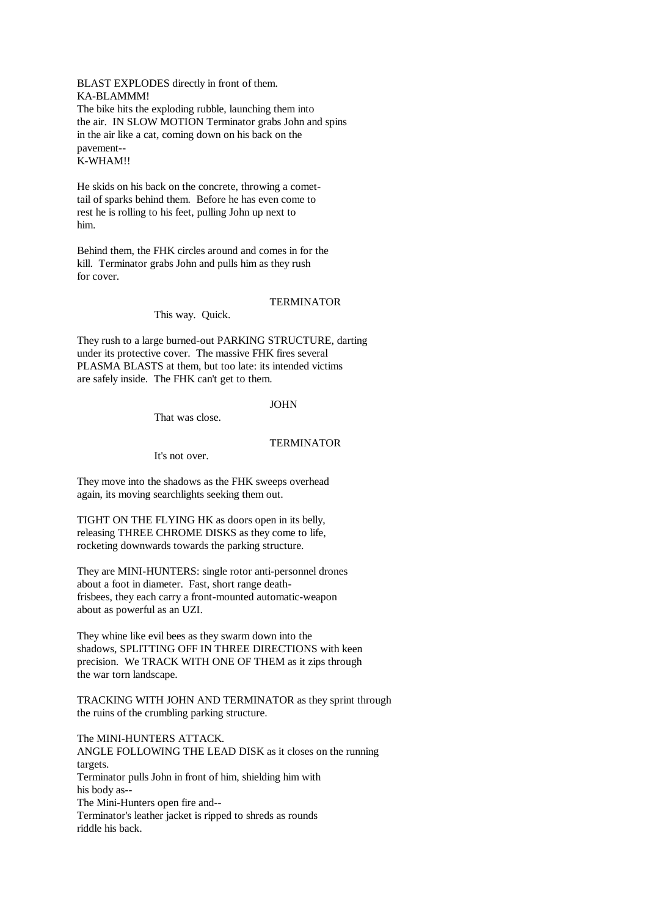BLAST EXPLODES directly in front of them. KA-BLAMMM! The bike hits the exploding rubble, launching them into the air. IN SLOW MOTION Terminator grabs John and spins in the air like a cat, coming down on his back on the pavement-- K-WHAM!!

He skids on his back on the concrete, throwing a comettail of sparks behind them. Before he has even come to rest he is rolling to his feet, pulling John up next to him.

Behind them, the FHK circles around and comes in for the kill. Terminator grabs John and pulls him as they rush for cover.

### TERMINATOR

This way. Quick.

They rush to a large burned-out PARKING STRUCTURE, darting under its protective cover. The massive FHK fires several PLASMA BLASTS at them, but too late: its intended victims are safely inside. The FHK can't get to them.

JOHN

That was close.

# TERMINATOR

It's not over.

They move into the shadows as the FHK sweeps overhead again, its moving searchlights seeking them out.

TIGHT ON THE FLYING HK as doors open in its belly, releasing THREE CHROME DISKS as they come to life, rocketing downwards towards the parking structure.

They are MINI-HUNTERS: single rotor anti-personnel drones about a foot in diameter. Fast, short range deathfrisbees, they each carry a front-mounted automatic-weapon about as powerful as an UZI.

They whine like evil bees as they swarm down into the shadows, SPLITTING OFF IN THREE DIRECTIONS with keen precision. We TRACK WITH ONE OF THEM as it zips through the war torn landscape.

TRACKING WITH JOHN AND TERMINATOR as they sprint through the ruins of the crumbling parking structure.

The MINI-HUNTERS ATTACK. ANGLE FOLLOWING THE LEAD DISK as it closes on the running targets. Terminator pulls John in front of him, shielding him with his body as-- The Mini-Hunters open fire and-- Terminator's leather jacket is ripped to shreds as rounds riddle his back.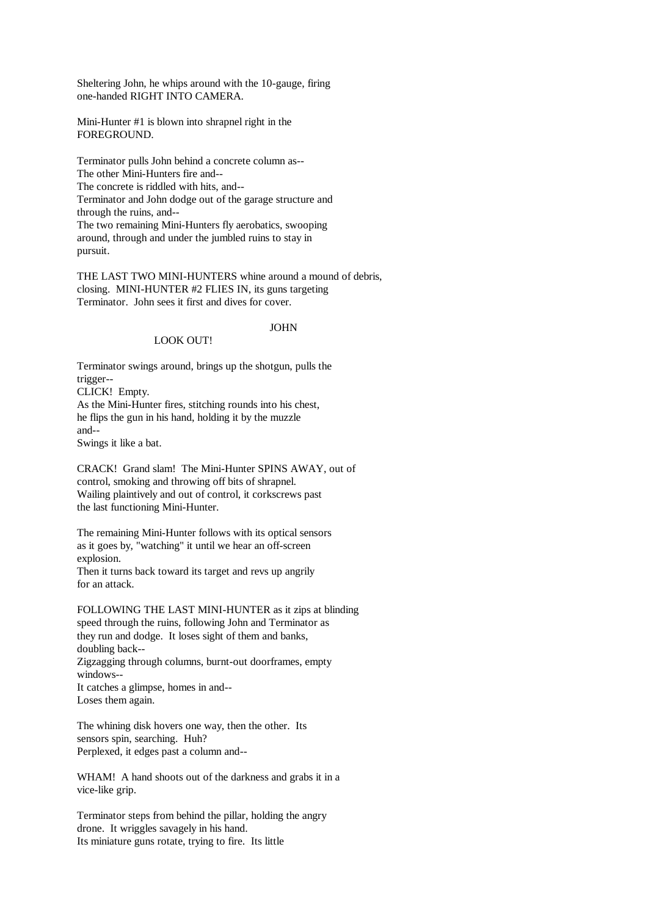Sheltering John, he whips around with the 10-gauge, firing one-handed RIGHT INTO CAMERA.

Mini-Hunter #1 is blown into shrapnel right in the FOREGROUND.

Terminator pulls John behind a concrete column as-- The other Mini-Hunters fire and-- The concrete is riddled with hits, and-- Terminator and John dodge out of the garage structure and through the ruins, and-- The two remaining Mini-Hunters fly aerobatics, swooping around, through and under the jumbled ruins to stay in pursuit.

THE LAST TWO MINI-HUNTERS whine around a mound of debris, closing. MINI-HUNTER #2 FLIES IN, its guns targeting Terminator. John sees it first and dives for cover.

# JOHN

# LOOK OUT!

Terminator swings around, brings up the shotgun, pulls the trigger-- CLICK! Empty. As the Mini-Hunter fires, stitching rounds into his chest, he flips the gun in his hand, holding it by the muzzle and--

Swings it like a bat.

CRACK! Grand slam! The Mini-Hunter SPINS AWAY, out of control, smoking and throwing off bits of shrapnel. Wailing plaintively and out of control, it corkscrews past the last functioning Mini-Hunter.

The remaining Mini-Hunter follows with its optical sensors as it goes by, "watching" it until we hear an off-screen explosion.

Then it turns back toward its target and revs up angrily for an attack.

FOLLOWING THE LAST MINI-HUNTER as it zips at blinding speed through the ruins, following John and Terminator as they run and dodge. It loses sight of them and banks, doubling back-- Zigzagging through columns, burnt-out doorframes, empty windows-- It catches a glimpse, homes in and-- Loses them again.

The whining disk hovers one way, then the other. Its sensors spin, searching. Huh? Perplexed, it edges past a column and--

WHAM! A hand shoots out of the darkness and grabs it in a vice-like grip.

Terminator steps from behind the pillar, holding the angry drone. It wriggles savagely in his hand. Its miniature guns rotate, trying to fire. Its little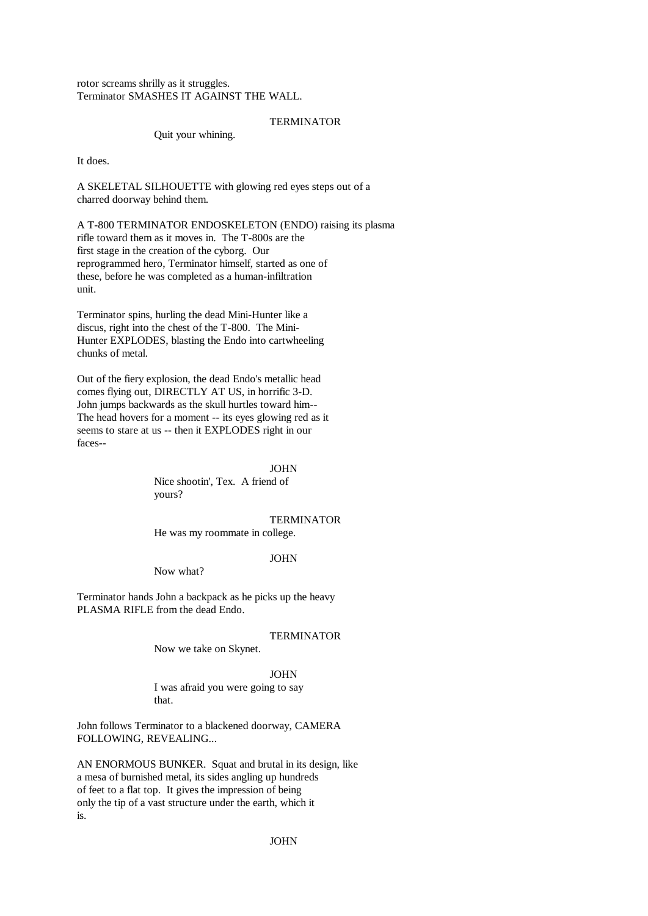rotor screams shrilly as it struggles. Terminator SMASHES IT AGAINST THE WALL.

### TERMINATOR

Quit your whining.

It does.

A SKELETAL SILHOUETTE with glowing red eyes steps out of a charred doorway behind them.

A T-800 TERMINATOR ENDOSKELETON (ENDO) raising its plasma rifle toward them as it moves in. The T-800s are the first stage in the creation of the cyborg. Our reprogrammed hero, Terminator himself, started as one of these, before he was completed as a human-infiltration unit.

Terminator spins, hurling the dead Mini-Hunter like a discus, right into the chest of the T-800. The Mini-Hunter EXPLODES, blasting the Endo into cartwheeling chunks of metal.

Out of the fiery explosion, the dead Endo's metallic head comes flying out, DIRECTLY AT US, in horrific 3-D. John jumps backwards as the skull hurtles toward him-- The head hovers for a moment -- its eyes glowing red as it seems to stare at us -- then it EXPLODES right in our faces--

> JOHN Nice shootin', Tex. A friend of yours?

### **TERMINATOR**

He was my roommate in college.

### JOHN

Now what?

Terminator hands John a backpack as he picks up the heavy PLASMA RIFLE from the dead Endo.

## TERMINATOR

Now we take on Skynet.

## JOHN

I was afraid you were going to say that.

John follows Terminator to a blackened doorway, CAMERA FOLLOWING, REVEALING...

AN ENORMOUS BUNKER. Squat and brutal in its design, like a mesa of burnished metal, its sides angling up hundreds of feet to a flat top. It gives the impression of being only the tip of a vast structure under the earth, which it is.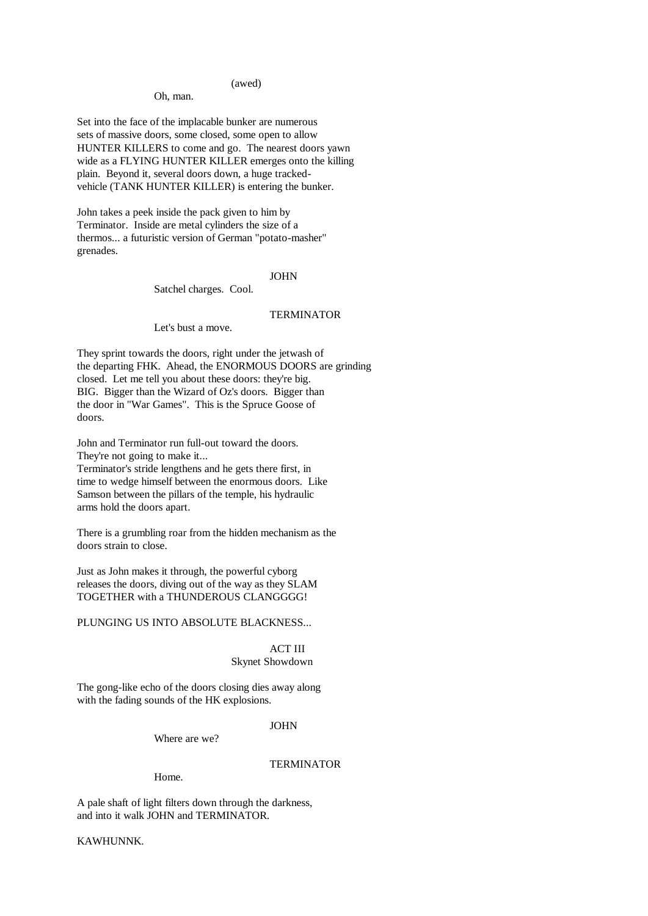### (awed)

## Oh, man.

Set into the face of the implacable bunker are numerous sets of massive doors, some closed, some open to allow HUNTER KILLERS to come and go. The nearest doors yawn wide as a FLYING HUNTER KILLER emerges onto the killing plain. Beyond it, several doors down, a huge trackedvehicle (TANK HUNTER KILLER) is entering the bunker.

John takes a peek inside the pack given to him by Terminator. Inside are metal cylinders the size of a thermos... a futuristic version of German "potato-masher" grenades.

## JOHN

Satchel charges. Cool.

# **TERMINATOR**

Let's bust a move.

They sprint towards the doors, right under the jetwash of the departing FHK. Ahead, the ENORMOUS DOORS are grinding closed. Let me tell you about these doors: they're big. BIG. Bigger than the Wizard of Oz's doors. Bigger than the door in "War Games". This is the Spruce Goose of doors.

John and Terminator run full-out toward the doors. They're not going to make it...

Terminator's stride lengthens and he gets there first, in time to wedge himself between the enormous doors. Like Samson between the pillars of the temple, his hydraulic arms hold the doors apart.

There is a grumbling roar from the hidden mechanism as the doors strain to close.

Just as John makes it through, the powerful cyborg releases the doors, diving out of the way as they SLAM TOGETHER with a THUNDEROUS CLANGGGG!

PLUNGING US INTO ABSOLUTE BLACKNESS...

## ACT III Skynet Showdown

The gong-like echo of the doors closing dies away along with the fading sounds of the HK explosions.

## JOHN

Where are we?

# **TERMINATOR**

Home.

A pale shaft of light filters down through the darkness, and into it walk JOHN and TERMINATOR.

KAWHUNNK.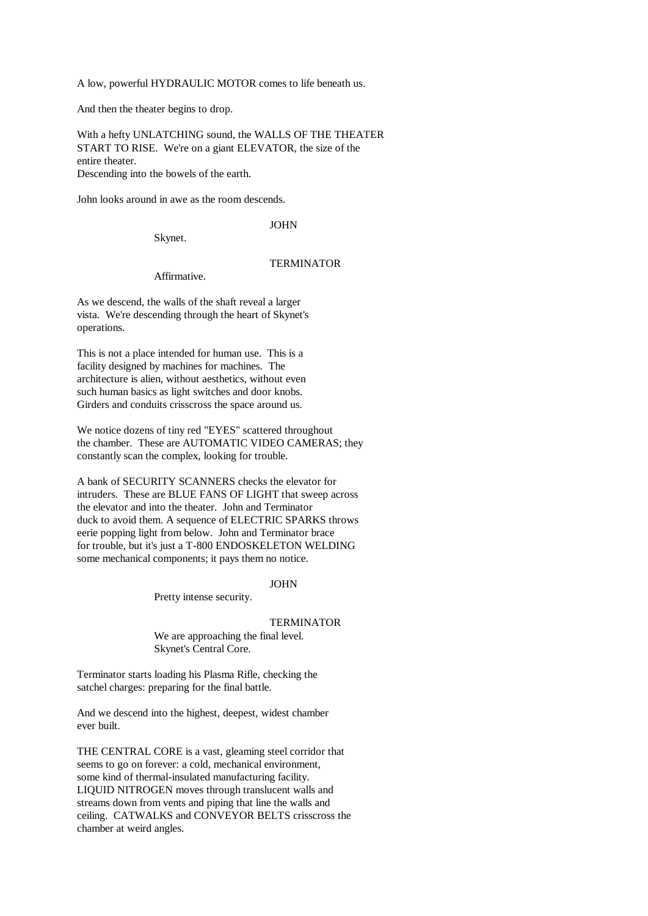A low, powerful HYDRAULIC MOTOR comes to life beneath us.

And then the theater begins to drop.

With a hefty UNLATCHING sound, the WALLS OF THE THEATER START TO RISE. We're on a giant ELEVATOR, the size of the entire theater. Descending into the bowels of the earth.

John looks around in awe as the room descends.

JOHN

Skynet.

# TERMINATOR

Affirmative.

As we descend, the walls of the shaft reveal a larger vista. We're descending through the heart of Skynet's operations.

This is not a place intended for human use. This is a facility designed by machines for machines. The architecture is alien, without aesthetics, without even such human basics as light switches and door knobs. Girders and conduits crisscross the space around us.

We notice dozens of tiny red "EYES" scattered throughout the chamber. These are AUTOMATIC VIDEO CAMERAS; they constantly scan the complex, looking for trouble.

A bank of SECURITY SCANNERS checks the elevator for intruders. These are BLUE FANS OF LIGHT that sweep across the elevator and into the theater. John and Terminator duck to avoid them. A sequence of ELECTRIC SPARKS throws eerie popping light from below. John and Terminator brace for trouble, but it's just a T-800 ENDOSKELETON WELDING some mechanical components; it pays them no notice.

JOHN

Pretty intense security.

#### TERMINATOR

We are approaching the final level. Skynet's Central Core.

Terminator starts loading his Plasma Rifle, checking the satchel charges: preparing for the final battle.

And we descend into the highest, deepest, widest chamber ever built.

THE CENTRAL CORE is a vast, gleaming steel corridor that seems to go on forever: a cold, mechanical environment, some kind of thermal-insulated manufacturing facility. LIQUID NITROGEN moves through translucent walls and streams down from vents and piping that line the walls and ceiling. CATWALKS and CONVEYOR BELTS crisscross the chamber at weird angles.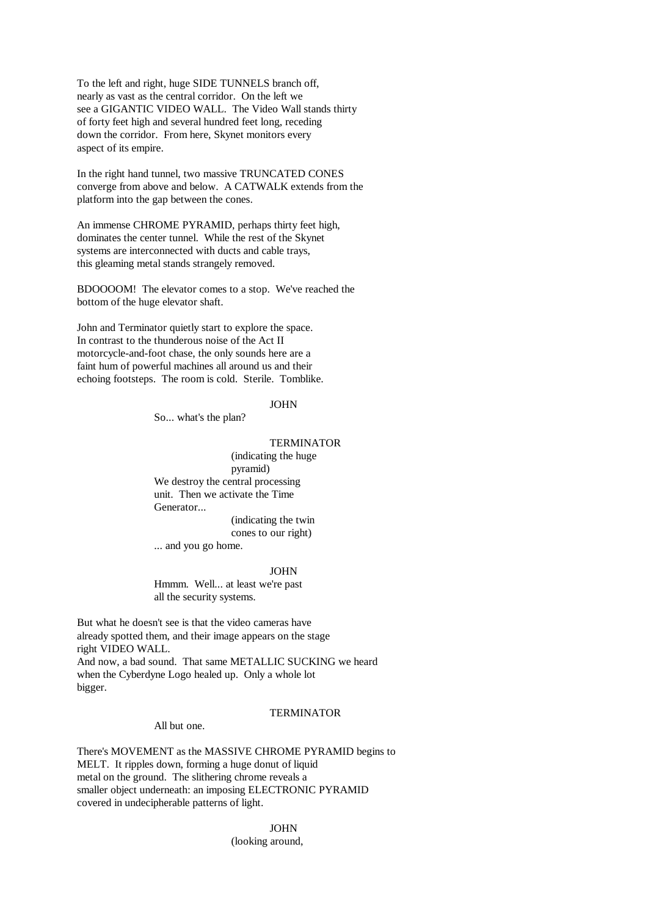To the left and right, huge SIDE TUNNELS branch off, nearly as vast as the central corridor. On the left we see a GIGANTIC VIDEO WALL. The Video Wall stands thirty of forty feet high and several hundred feet long, receding down the corridor. From here, Skynet monitors every aspect of its empire.

In the right hand tunnel, two massive TRUNCATED CONES converge from above and below. A CATWALK extends from the platform into the gap between the cones.

An immense CHROME PYRAMID, perhaps thirty feet high, dominates the center tunnel. While the rest of the Skynet systems are interconnected with ducts and cable trays, this gleaming metal stands strangely removed.

BDOOOOM! The elevator comes to a stop. We've reached the bottom of the huge elevator shaft.

John and Terminator quietly start to explore the space. In contrast to the thunderous noise of the Act II motorcycle-and-foot chase, the only sounds here are a faint hum of powerful machines all around us and their echoing footsteps. The room is cold. Sterile. Tomblike.

JOHN

So... what's the plan?

### TERMINATOR

(indicating the huge pyramid) We destroy the central processing unit. Then we activate the Time Generator...

(indicating the twin cones to our right)

... and you go home.

#### JOHN

Hmmm. Well... at least we're past all the security systems.

But what he doesn't see is that the video cameras have already spotted them, and their image appears on the stage right VIDEO WALL. And now, a bad sound. That same METALLIC SUCKING we heard when the Cyberdyne Logo healed up. Only a whole lot bigger.

# All but one.

### TERMINATOR

There's MOVEMENT as the MASSIVE CHROME PYRAMID begins to MELT. It ripples down, forming a huge donut of liquid metal on the ground. The slithering chrome reveals a smaller object underneath: an imposing ELECTRONIC PYRAMID covered in undecipherable patterns of light.

JOHN

(looking around,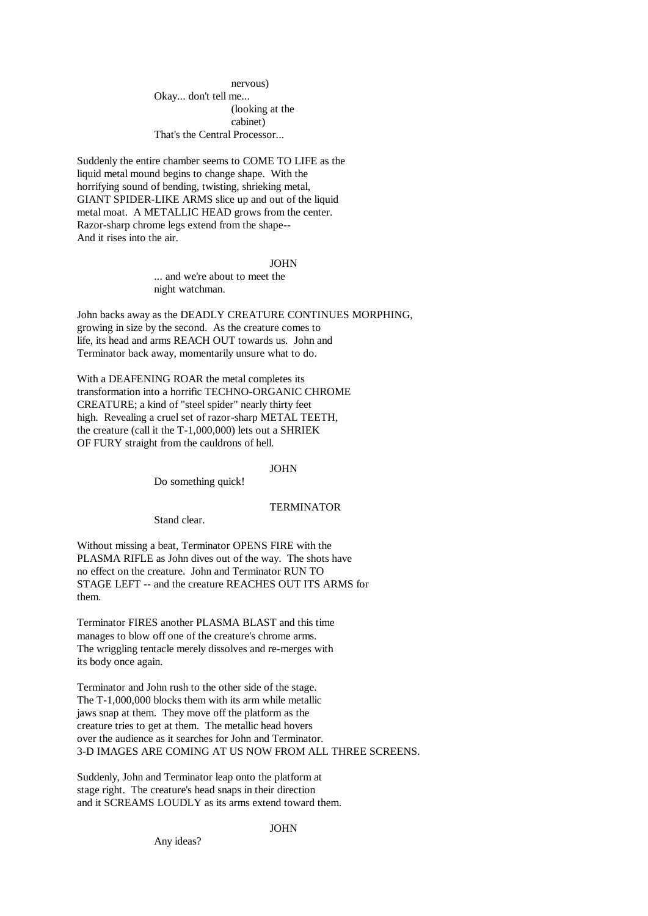nervous)

Okay... don't tell me... (looking at the cabinet) That's the Central Processor...

Suddenly the entire chamber seems to COME TO LIFE as the liquid metal mound begins to change shape. With the horrifying sound of bending, twisting, shrieking metal, GIANT SPIDER-LIKE ARMS slice up and out of the liquid metal moat. A METALLIC HEAD grows from the center. Razor-sharp chrome legs extend from the shape-- And it rises into the air.

JOHN

... and we're about to meet the night watchman.

John backs away as the DEADLY CREATURE CONTINUES MORPHING, growing in size by the second. As the creature comes to life, its head and arms REACH OUT towards us. John and Terminator back away, momentarily unsure what to do.

With a DEAFENING ROAR the metal completes its transformation into a horrific TECHNO-ORGANIC CHROME CREATURE; a kind of "steel spider" nearly thirty feet high. Revealing a cruel set of razor-sharp METAL TEETH, the creature (call it the T-1,000,000) lets out a SHRIEK OF FURY straight from the cauldrons of hell.

### JOHN

Do something quick!

### TERMINATOR

Stand clear.

Without missing a beat, Terminator OPENS FIRE with the PLASMA RIFLE as John dives out of the way. The shots have no effect on the creature. John and Terminator RUN TO STAGE LEFT -- and the creature REACHES OUT ITS ARMS for them.

Terminator FIRES another PLASMA BLAST and this time manages to blow off one of the creature's chrome arms. The wriggling tentacle merely dissolves and re-merges with its body once again.

Terminator and John rush to the other side of the stage. The T-1,000,000 blocks them with its arm while metallic jaws snap at them. They move off the platform as the creature tries to get at them. The metallic head hovers over the audience as it searches for John and Terminator. 3-D IMAGES ARE COMING AT US NOW FROM ALL THREE SCREENS.

Suddenly, John and Terminator leap onto the platform at stage right. The creature's head snaps in their direction and it SCREAMS LOUDLY as its arms extend toward them.

# JOHN

Any ideas?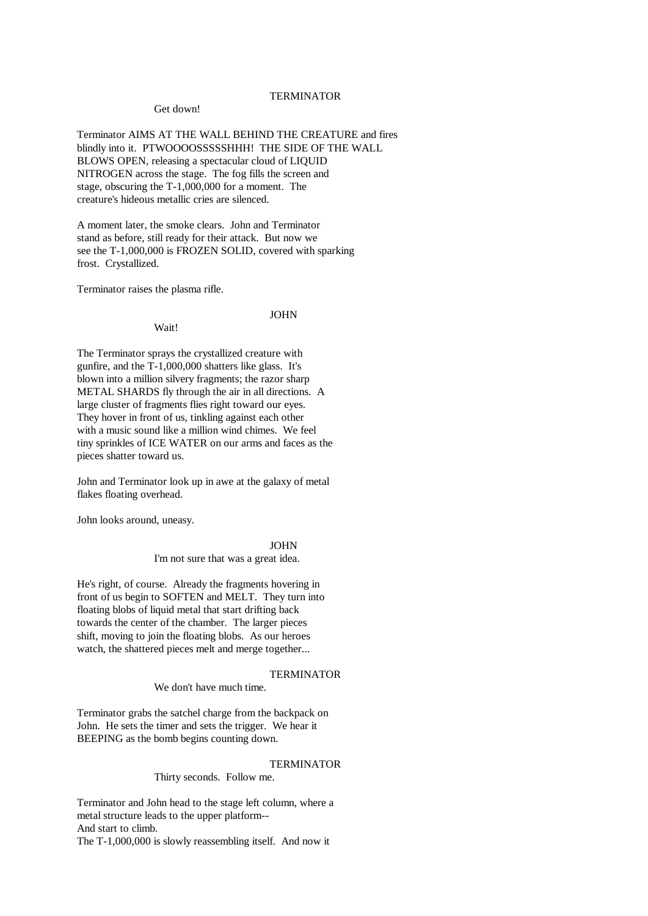### TERMINATOR

#### Get down!

Terminator AIMS AT THE WALL BEHIND THE CREATURE and fires blindly into it. PTWOOOOSSSSSHHH! THE SIDE OF THE WALL BLOWS OPEN, releasing a spectacular cloud of LIQUID NITROGEN across the stage. The fog fills the screen and stage, obscuring the T-1,000,000 for a moment. The creature's hideous metallic cries are silenced.

A moment later, the smoke clears. John and Terminator stand as before, still ready for their attack. But now we see the T-1,000,000 is FROZEN SOLID, covered with sparking frost. Crystallized.

Terminator raises the plasma rifle.

Wait!

### JOHN

The Terminator sprays the crystallized creature with gunfire, and the T-1,000,000 shatters like glass. It's blown into a million silvery fragments; the razor sharp METAL SHARDS fly through the air in all directions. A large cluster of fragments flies right toward our eyes. They hover in front of us, tinkling against each other with a music sound like a million wind chimes. We feel tiny sprinkles of ICE WATER on our arms and faces as the pieces shatter toward us.

John and Terminator look up in awe at the galaxy of metal flakes floating overhead.

John looks around, uneasy.

JOHN I'm not sure that was a great idea.

He's right, of course. Already the fragments hovering in front of us begin to SOFTEN and MELT. They turn into floating blobs of liquid metal that start drifting back towards the center of the chamber. The larger pieces shift, moving to join the floating blobs. As our heroes watch, the shattered pieces melt and merge together...

### **TERMINATOR**

# We don't have much time.

Terminator grabs the satchel charge from the backpack on John. He sets the timer and sets the trigger. We hear it BEEPING as the bomb begins counting down.

### **TERMINATOR**

Thirty seconds. Follow me.

Terminator and John head to the stage left column, where a metal structure leads to the upper platform-- And start to climb. The T-1,000,000 is slowly reassembling itself. And now it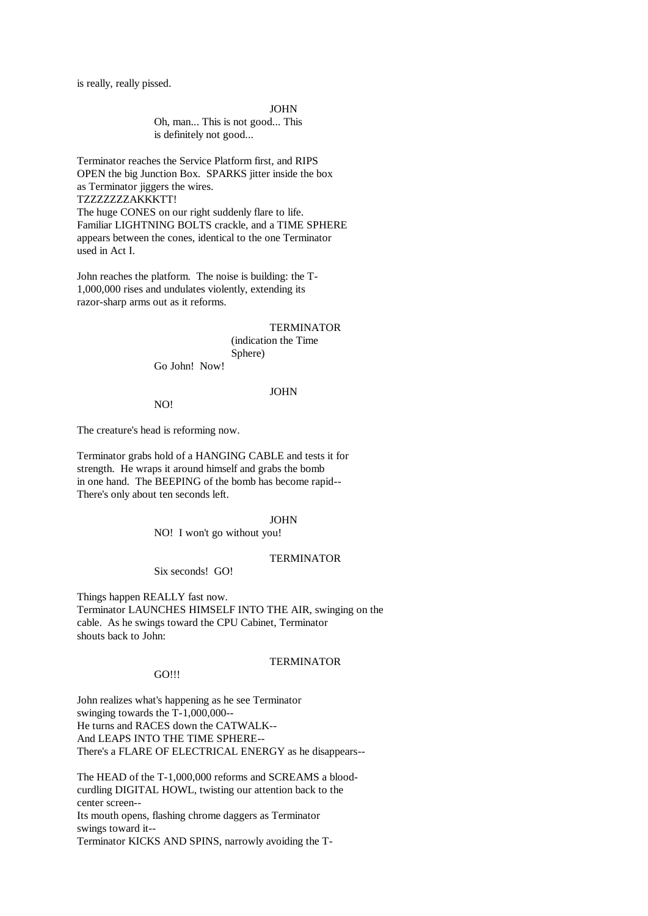is really, really pissed.

#### JOHN

Oh, man... This is not good... This is definitely not good...

Terminator reaches the Service Platform first, and RIPS OPEN the big Junction Box. SPARKS jitter inside the box as Terminator jiggers the wires. TZZZZZZZAKKKTT! The huge CONES on our right suddenly flare to life. Familiar LIGHTNING BOLTS crackle, and a TIME SPHERE appears between the cones, identical to the one Terminator used in Act I.

John reaches the platform. The noise is building: the T-1,000,000 rises and undulates violently, extending its razor-sharp arms out as it reforms.

### **TERMINATOR**

(indication the Time Sphere)

Go John! Now!

## JOHN

NO!

The creature's head is reforming now.

Terminator grabs hold of a HANGING CABLE and tests it for strength. He wraps it around himself and grabs the bomb in one hand. The BEEPING of the bomb has become rapid-- There's only about ten seconds left.

## JOHN

NO! I won't go without you!

### TERMINATOR

Six seconds! GO!

Things happen REALLY fast now. Terminator LAUNCHES HIMSELF INTO THE AIR, swinging on the cable. As he swings toward the CPU Cabinet, Terminator shouts back to John:

## GO!!!

## **TERMINATOR**

John realizes what's happening as he see Terminator swinging towards the T-1,000,000-- He turns and RACES down the CATWALK-- And LEAPS INTO THE TIME SPHERE-- There's a FLARE OF ELECTRICAL ENERGY as he disappears--

The HEAD of the T-1,000,000 reforms and SCREAMS a bloodcurdling DIGITAL HOWL, twisting our attention back to the center screen-- Its mouth opens, flashing chrome daggers as Terminator swings toward it-- Terminator KICKS AND SPINS, narrowly avoiding the T-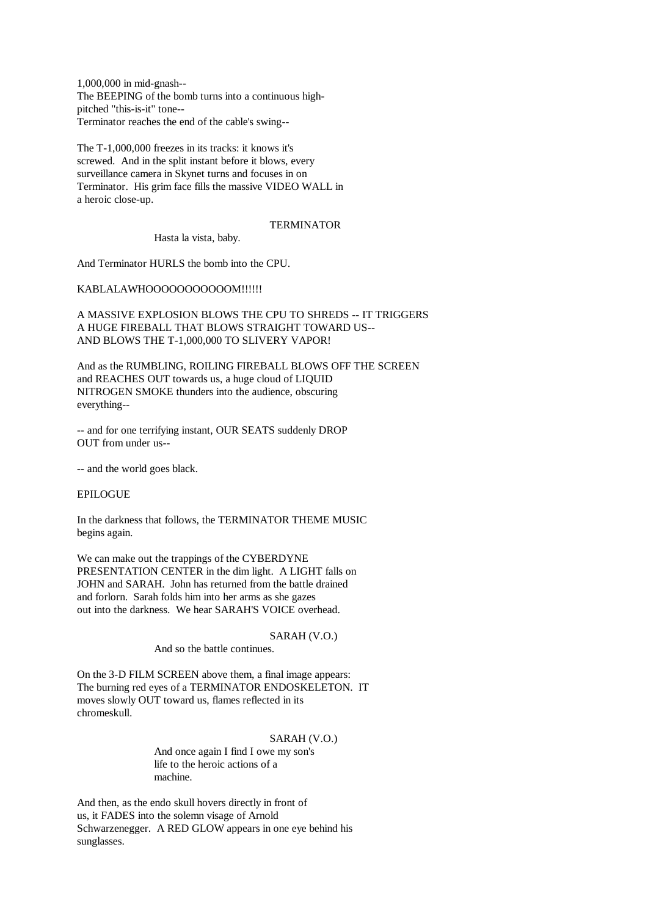1,000,000 in mid-gnash-- The BEEPING of the bomb turns into a continuous highpitched "this-is-it" tone-- Terminator reaches the end of the cable's swing--

The T-1,000,000 freezes in its tracks: it knows it's screwed. And in the split instant before it blows, every surveillance camera in Skynet turns and focuses in on Terminator. His grim face fills the massive VIDEO WALL in a heroic close-up.

## **TERMINATOR**

Hasta la vista, baby.

And Terminator HURLS the bomb into the CPU.

# KABLALAWHOOOOOOOOOOOOM!!!!!!

A MASSIVE EXPLOSION BLOWS THE CPU TO SHREDS -- IT TRIGGERS A HUGE FIREBALL THAT BLOWS STRAIGHT TOWARD US-- AND BLOWS THE T-1,000,000 TO SLIVERY VAPOR!

And as the RUMBLING, ROILING FIREBALL BLOWS OFF THE SCREEN and REACHES OUT towards us, a huge cloud of LIQUID NITROGEN SMOKE thunders into the audience, obscuring everything--

-- and for one terrifying instant, OUR SEATS suddenly DROP OUT from under us--

-- and the world goes black.

EPILOGUE

In the darkness that follows, the TERMINATOR THEME MUSIC begins again.

We can make out the trappings of the CYBERDYNE PRESENTATION CENTER in the dim light. A LIGHT falls on JOHN and SARAH. John has returned from the battle drained and forlorn. Sarah folds him into her arms as she gazes out into the darkness. We hear SARAH'S VOICE overhead.

## SARAH (V.O.)

And so the battle continues.

On the 3-D FILM SCREEN above them, a final image appears: The burning red eyes of a TERMINATOR ENDOSKELETON. IT moves slowly OUT toward us, flames reflected in its chromeskull.

# SARAH (V.O.)

And once again I find I owe my son's life to the heroic actions of a machine.

And then, as the endo skull hovers directly in front of us, it FADES into the solemn visage of Arnold Schwarzenegger. A RED GLOW appears in one eye behind his sunglasses.